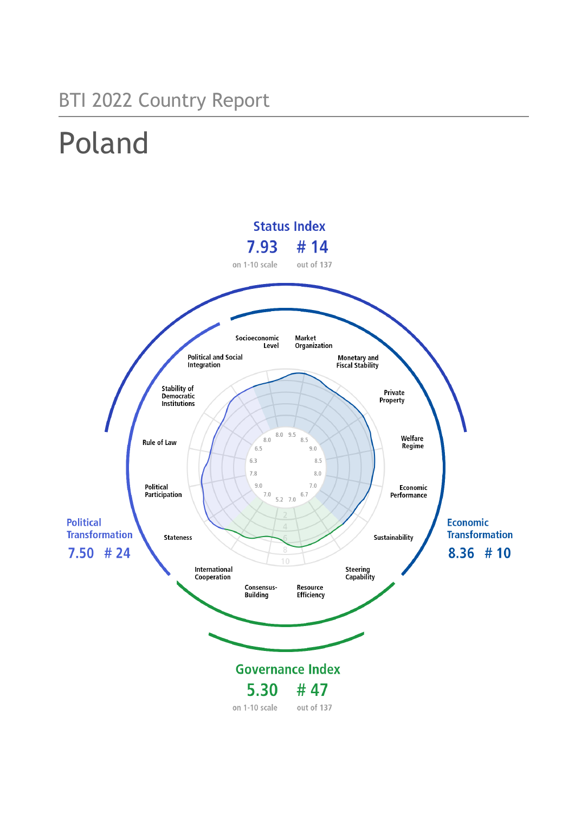# BTI 2022 Country Report

# Poland

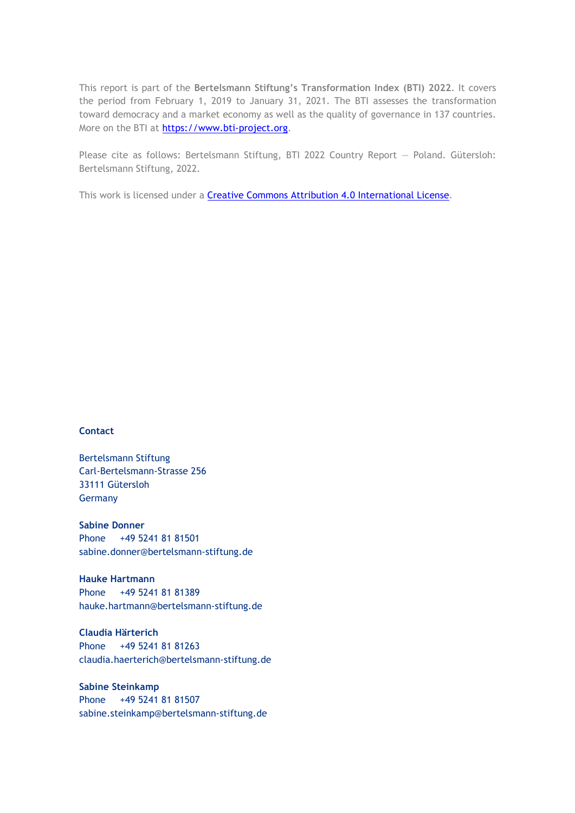This report is part of the **Bertelsmann Stiftung's Transformation Index (BTI) 2022**. It covers the period from February 1, 2019 to January 31, 2021. The BTI assesses the transformation toward democracy and a market economy as well as the quality of governance in 137 countries. More on the BTI at [https://www.bti-project.org.](http://www.bti-project.org/)

Please cite as follows: Bertelsmann Stiftung, BTI 2022 Country Report — Poland. Gütersloh: Bertelsmann Stiftung, 2022.

This work is licensed under a **Creative Commons Attribution 4.0 International License**.

#### **Contact**

Bertelsmann Stiftung Carl-Bertelsmann-Strasse 256 33111 Gütersloh Germany

**Sabine Donner** Phone +49 5241 81 81501 sabine.donner@bertelsmann-stiftung.de

**Hauke Hartmann** Phone +49 5241 81 81389 hauke.hartmann@bertelsmann-stiftung.de

**Claudia Härterich** Phone +49 5241 81 81263 claudia.haerterich@bertelsmann-stiftung.de

#### **Sabine Steinkamp** Phone +49 5241 81 81507 sabine.steinkamp@bertelsmann-stiftung.de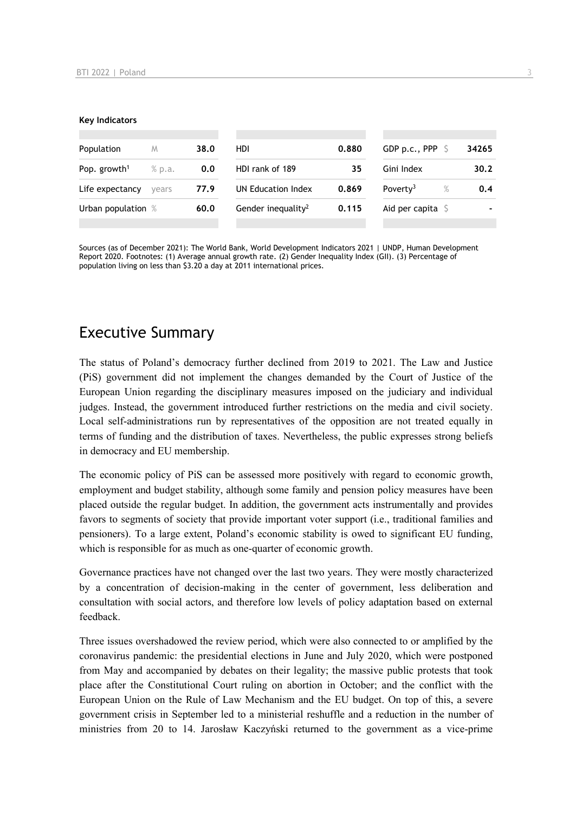#### **Key Indicators**

| Population                         | M     | 38.0 | HDI                            | 0.880 | GDP p.c., PPP $\ S$          | 34265 |
|------------------------------------|-------|------|--------------------------------|-------|------------------------------|-------|
| Pop. growth <sup>1</sup><br>% p.a. |       | 0.0  | HDI rank of 189                | 35    | Gini Index                   | 30.2  |
| Life expectancy                    | vears | 77.9 | UN Education Index             | 0.869 | $\%$<br>Poverty <sup>3</sup> | 0.4   |
| Urban population %                 |       | 60.0 | Gender inequality <sup>2</sup> | 0.115 | Aid per capita $\sqrt{5}$    |       |
|                                    |       |      |                                |       |                              |       |

Sources (as of December 2021): The World Bank, World Development Indicators 2021 | UNDP, Human Development Report 2020. Footnotes: (1) Average annual growth rate. (2) Gender Inequality Index (GII). (3) Percentage of population living on less than \$3.20 a day at 2011 international prices.

## Executive Summary

The status of Poland's democracy further declined from 2019 to 2021. The Law and Justice (PiS) government did not implement the changes demanded by the Court of Justice of the European Union regarding the disciplinary measures imposed on the judiciary and individual judges. Instead, the government introduced further restrictions on the media and civil society. Local self-administrations run by representatives of the opposition are not treated equally in terms of funding and the distribution of taxes. Nevertheless, the public expresses strong beliefs in democracy and EU membership.

The economic policy of PiS can be assessed more positively with regard to economic growth, employment and budget stability, although some family and pension policy measures have been placed outside the regular budget. In addition, the government acts instrumentally and provides favors to segments of society that provide important voter support (i.e., traditional families and pensioners). To a large extent, Poland's economic stability is owed to significant EU funding, which is responsible for as much as one-quarter of economic growth.

Governance practices have not changed over the last two years. They were mostly characterized by a concentration of decision-making in the center of government, less deliberation and consultation with social actors, and therefore low levels of policy adaptation based on external feedback.

Three issues overshadowed the review period, which were also connected to or amplified by the coronavirus pandemic: the presidential elections in June and July 2020, which were postponed from May and accompanied by debates on their legality; the massive public protests that took place after the Constitutional Court ruling on abortion in October; and the conflict with the European Union on the Rule of Law Mechanism and the EU budget. On top of this, a severe government crisis in September led to a ministerial reshuffle and a reduction in the number of ministries from 20 to 14. Jarosław Kaczyński returned to the government as a vice-prime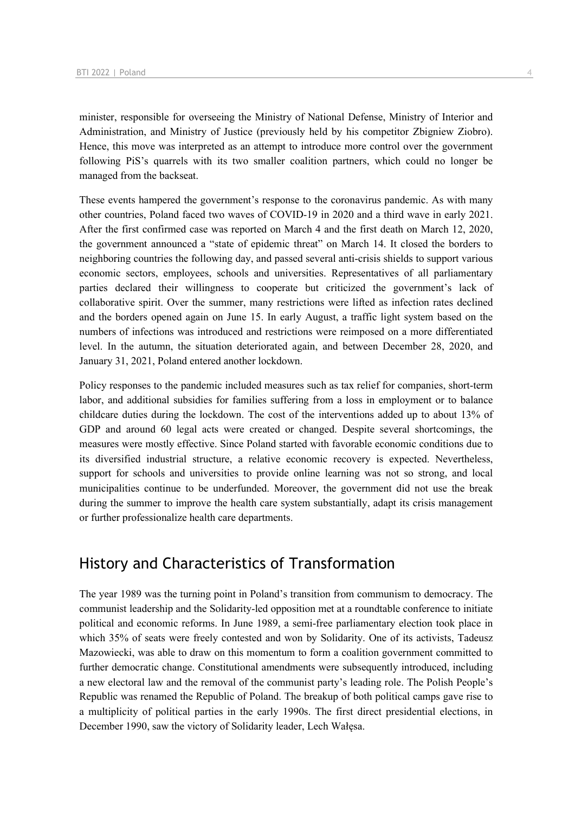minister, responsible for overseeing the Ministry of National Defense, Ministry of Interior and Administration, and Ministry of Justice (previously held by his competitor Zbigniew Ziobro). Hence, this move was interpreted as an attempt to introduce more control over the government following PiS's quarrels with its two smaller coalition partners, which could no longer be managed from the backseat.

These events hampered the government's response to the coronavirus pandemic. As with many other countries, Poland faced two waves of COVID-19 in 2020 and a third wave in early 2021. After the first confirmed case was reported on March 4 and the first death on March 12, 2020, the government announced a "state of epidemic threat" on March 14. It closed the borders to neighboring countries the following day, and passed several anti-crisis shields to support various economic sectors, employees, schools and universities. Representatives of all parliamentary parties declared their willingness to cooperate but criticized the government's lack of collaborative spirit. Over the summer, many restrictions were lifted as infection rates declined and the borders opened again on June 15. In early August, a traffic light system based on the numbers of infections was introduced and restrictions were reimposed on a more differentiated level. In the autumn, the situation deteriorated again, and between December 28, 2020, and January 31, 2021, Poland entered another lockdown.

Policy responses to the pandemic included measures such as tax relief for companies, short-term labor, and additional subsidies for families suffering from a loss in employment or to balance childcare duties during the lockdown. The cost of the interventions added up to about 13% of GDP and around 60 legal acts were created or changed. Despite several shortcomings, the measures were mostly effective. Since Poland started with favorable economic conditions due to its diversified industrial structure, a relative economic recovery is expected. Nevertheless, support for schools and universities to provide online learning was not so strong, and local municipalities continue to be underfunded. Moreover, the government did not use the break during the summer to improve the health care system substantially, adapt its crisis management or further professionalize health care departments.

## History and Characteristics of Transformation

The year 1989 was the turning point in Poland's transition from communism to democracy. The communist leadership and the Solidarity-led opposition met at a roundtable conference to initiate political and economic reforms. In June 1989, a semi-free parliamentary election took place in which 35% of seats were freely contested and won by Solidarity. One of its activists, Tadeusz Mazowiecki, was able to draw on this momentum to form a coalition government committed to further democratic change. Constitutional amendments were subsequently introduced, including a new electoral law and the removal of the communist party's leading role. The Polish People's Republic was renamed the Republic of Poland. The breakup of both political camps gave rise to a multiplicity of political parties in the early 1990s. The first direct presidential elections, in December 1990, saw the victory of Solidarity leader, Lech Wałęsa.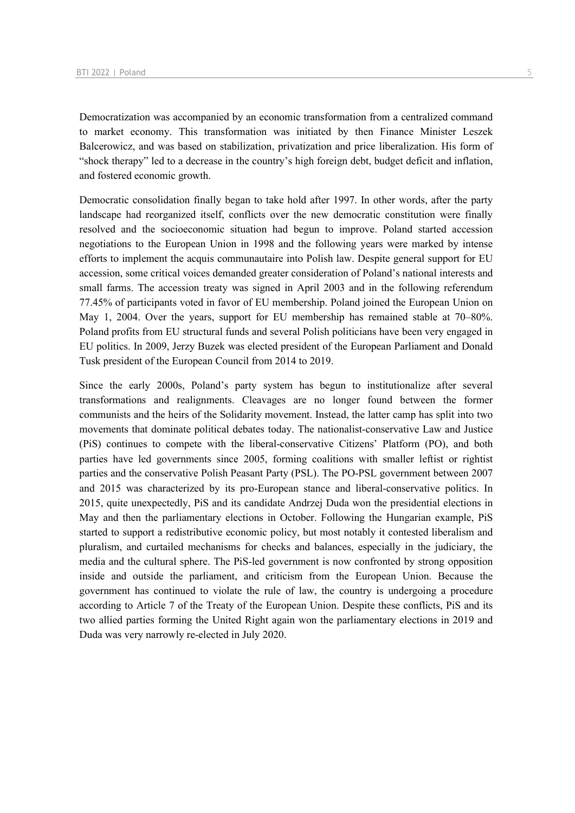Democratization was accompanied by an economic transformation from a centralized command to market economy. This transformation was initiated by then Finance Minister Leszek Balcerowicz, and was based on stabilization, privatization and price liberalization. His form of "shock therapy" led to a decrease in the country's high foreign debt, budget deficit and inflation, and fostered economic growth.

Democratic consolidation finally began to take hold after 1997. In other words, after the party landscape had reorganized itself, conflicts over the new democratic constitution were finally resolved and the socioeconomic situation had begun to improve. Poland started accession negotiations to the European Union in 1998 and the following years were marked by intense efforts to implement the acquis communautaire into Polish law. Despite general support for EU accession, some critical voices demanded greater consideration of Poland's national interests and small farms. The accession treaty was signed in April 2003 and in the following referendum 77.45% of participants voted in favor of EU membership. Poland joined the European Union on May 1, 2004. Over the years, support for EU membership has remained stable at 70–80%. Poland profits from EU structural funds and several Polish politicians have been very engaged in EU politics. In 2009, Jerzy Buzek was elected president of the European Parliament and Donald Tusk president of the European Council from 2014 to 2019.

Since the early 2000s, Poland's party system has begun to institutionalize after several transformations and realignments. Cleavages are no longer found between the former communists and the heirs of the Solidarity movement. Instead, the latter camp has split into two movements that dominate political debates today. The nationalist-conservative Law and Justice (PiS) continues to compete with the liberal-conservative Citizens' Platform (PO), and both parties have led governments since 2005, forming coalitions with smaller leftist or rightist parties and the conservative Polish Peasant Party (PSL). The PO-PSL government between 2007 and 2015 was characterized by its pro-European stance and liberal-conservative politics. In 2015, quite unexpectedly, PiS and its candidate Andrzej Duda won the presidential elections in May and then the parliamentary elections in October. Following the Hungarian example, PiS started to support a redistributive economic policy, but most notably it contested liberalism and pluralism, and curtailed mechanisms for checks and balances, especially in the judiciary, the media and the cultural sphere. The PiS-led government is now confronted by strong opposition inside and outside the parliament, and criticism from the European Union. Because the government has continued to violate the rule of law, the country is undergoing a procedure according to Article 7 of the Treaty of the European Union. Despite these conflicts, PiS and its two allied parties forming the United Right again won the parliamentary elections in 2019 and Duda was very narrowly re-elected in July 2020.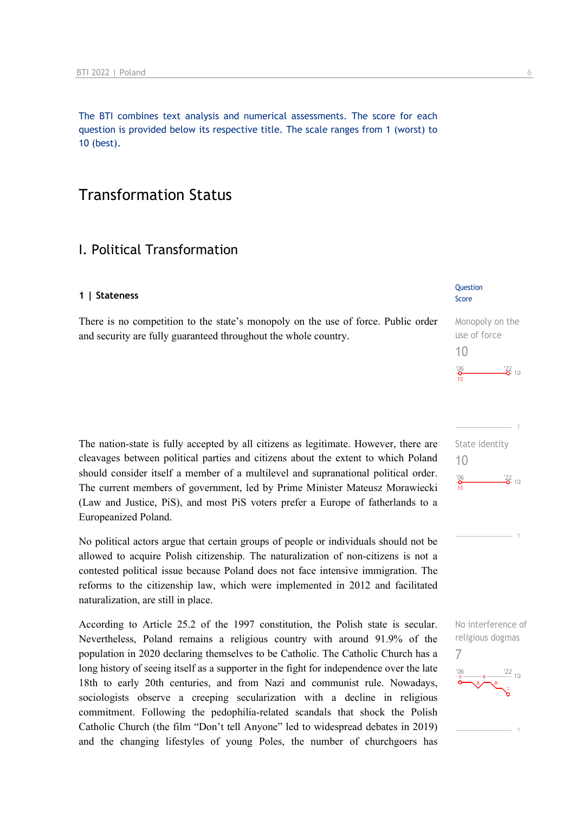The BTI combines text analysis and numerical assessments. The score for each question is provided below its respective title. The scale ranges from 1 (worst) to 10 (best).

## Transformation Status

## I. Political Transformation

#### **1 | Stateness**

There is no competition to the state's monopoly on the use of force. Public order and security are fully guaranteed throughout the whole country.

The nation-state is fully accepted by all citizens as legitimate. However, there are cleavages between political parties and citizens about the extent to which Poland should consider itself a member of a multilevel and supranational political order. The current members of government, led by Prime Minister Mateusz Morawiecki (Law and Justice, PiS), and most PiS voters prefer a Europe of fatherlands to a Europeanized Poland.

No political actors argue that certain groups of people or individuals should not be allowed to acquire Polish citizenship. The naturalization of non-citizens is not a contested political issue because Poland does not face intensive immigration. The reforms to the citizenship law, which were implemented in 2012 and facilitated naturalization, are still in place.

According to Article 25.2 of the 1997 constitution, the Polish state is secular. Nevertheless, Poland remains a religious country with around 91.9% of the population in 2020 declaring themselves to be Catholic. The Catholic Church has a long history of seeing itself as a supporter in the fight for independence over the late 18th to early 20th centuries, and from Nazi and communist rule. Nowadays, sociologists observe a creeping secularization with a decline in religious commitment. Following the pedophilia-related scandals that shock the Polish Catholic Church (the film "Don't tell Anyone" led to widespread debates in 2019) and the changing lifestyles of young Poles, the number of churchgoers has

## **Question**

Score

Monopoly on the use of force 10  $\frac{22}{2}$  10





No interference of religious dogmas 7

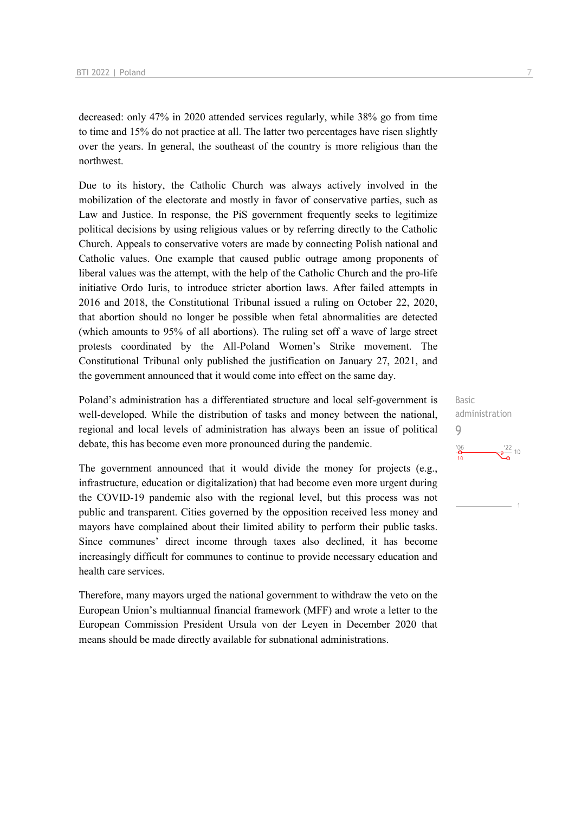decreased: only 47% in 2020 attended services regularly, while 38% go from time to time and 15% do not practice at all. The latter two percentages have risen slightly over the years. In general, the southeast of the country is more religious than the northwest.

Due to its history, the Catholic Church was always actively involved in the mobilization of the electorate and mostly in favor of conservative parties, such as Law and Justice. In response, the PiS government frequently seeks to legitimize political decisions by using religious values or by referring directly to the Catholic Church. Appeals to conservative voters are made by connecting Polish national and Catholic values. One example that caused public outrage among proponents of liberal values was the attempt, with the help of the Catholic Church and the pro-life initiative Ordo Iuris, to introduce stricter abortion laws. After failed attempts in 2016 and 2018, the Constitutional Tribunal issued a ruling on October 22, 2020, that abortion should no longer be possible when fetal abnormalities are detected (which amounts to 95% of all abortions). The ruling set off a wave of large street protests coordinated by the All-Poland Women's Strike movement. The Constitutional Tribunal only published the justification on January 27, 2021, and the government announced that it would come into effect on the same day.

Poland's administration has a differentiated structure and local self-government is well-developed. While the distribution of tasks and money between the national, regional and local levels of administration has always been an issue of political debate, this has become even more pronounced during the pandemic.

The government announced that it would divide the money for projects (e.g., infrastructure, education or digitalization) that had become even more urgent during the COVID-19 pandemic also with the regional level, but this process was not public and transparent. Cities governed by the opposition received less money and mayors have complained about their limited ability to perform their public tasks. Since communes' direct income through taxes also declined, it has become increasingly difficult for communes to continue to provide necessary education and health care services.

Therefore, many mayors urged the national government to withdraw the veto on the European Union's multiannual financial framework (MFF) and wrote a letter to the European Commission President Ursula von der Leyen in December 2020 that means should be made directly available for subnational administrations.

Basic administration 9 $-\frac{9^{22}}{2}$  10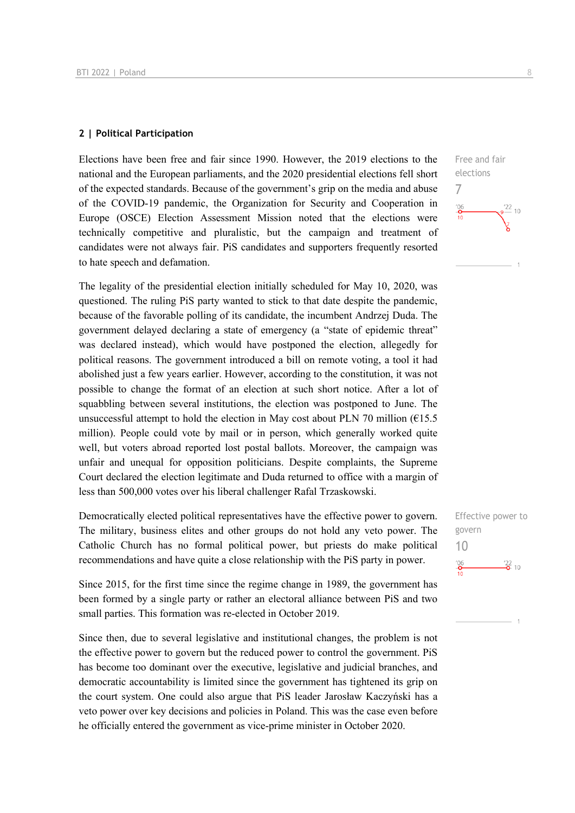#### **2 | Political Participation**

Elections have been free and fair since 1990. However, the 2019 elections to the national and the European parliaments, and the 2020 presidential elections fell short of the expected standards. Because of the government's grip on the media and abuse of the COVID-19 pandemic, the Organization for Security and Cooperation in Europe (OSCE) Election Assessment Mission noted that the elections were technically competitive and pluralistic, but the campaign and treatment of candidates were not always fair. PiS candidates and supporters frequently resorted to hate speech and defamation.

The legality of the presidential election initially scheduled for May 10, 2020, was questioned. The ruling PiS party wanted to stick to that date despite the pandemic, because of the favorable polling of its candidate, the incumbent Andrzej Duda. The government delayed declaring a state of emergency (a "state of epidemic threat" was declared instead), which would have postponed the election, allegedly for political reasons. The government introduced a bill on remote voting, a tool it had abolished just a few years earlier. However, according to the constitution, it was not possible to change the format of an election at such short notice. After a lot of squabbling between several institutions, the election was postponed to June. The unsuccessful attempt to hold the election in May cost about PLN 70 million ( $615.5$ ) million). People could vote by mail or in person, which generally worked quite well, but voters abroad reported lost postal ballots. Moreover, the campaign was unfair and unequal for opposition politicians. Despite complaints, the Supreme Court declared the election legitimate and Duda returned to office with a margin of less than 500,000 votes over his liberal challenger Rafal Trzaskowski.

Democratically elected political representatives have the effective power to govern. The military, business elites and other groups do not hold any veto power. The Catholic Church has no formal political power, but priests do make political recommendations and have quite a close relationship with the PiS party in power.

Since 2015, for the first time since the regime change in 1989, the government has been formed by a single party or rather an electoral alliance between PiS and two small parties. This formation was re-elected in October 2019.

Since then, due to several legislative and institutional changes, the problem is not the effective power to govern but the reduced power to control the government. PiS has become too dominant over the executive, legislative and judicial branches, and democratic accountability is limited since the government has tightened its grip on the court system. One could also argue that PiS leader Jarosław Kaczyński has a veto power over key decisions and policies in Poland. This was the case even before he officially entered the government as vice-prime minister in October 2020.

Effective power to govern 10 $\frac{106}{2}$  $\frac{22}{2}$  10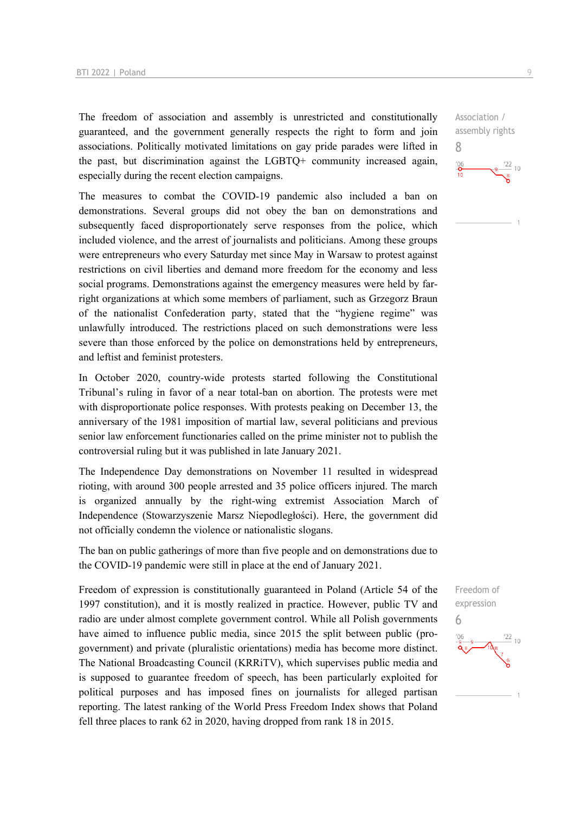The freedom of association and assembly is unrestricted and constitutionally guaranteed, and the government generally respects the right to form and join associations. Politically motivated limitations on gay pride parades were lifted in the past, but discrimination against the LGBTQ+ community increased again, especially during the recent election campaigns.

The measures to combat the COVID-19 pandemic also included a ban on demonstrations. Several groups did not obey the ban on demonstrations and subsequently faced disproportionately serve responses from the police, which included violence, and the arrest of journalists and politicians. Among these groups were entrepreneurs who every Saturday met since May in Warsaw to protest against restrictions on civil liberties and demand more freedom for the economy and less social programs. Demonstrations against the emergency measures were held by farright organizations at which some members of parliament, such as Grzegorz Braun of the nationalist Confederation party, stated that the "hygiene regime" was unlawfully introduced. The restrictions placed on such demonstrations were less severe than those enforced by the police on demonstrations held by entrepreneurs, and leftist and feminist protesters.

In October 2020, country-wide protests started following the Constitutional Tribunal's ruling in favor of a near total-ban on abortion. The protests were met with disproportionate police responses. With protests peaking on December 13, the anniversary of the 1981 imposition of martial law, several politicians and previous senior law enforcement functionaries called on the prime minister not to publish the controversial ruling but it was published in late January 2021.

The Independence Day demonstrations on November 11 resulted in widespread rioting, with around 300 people arrested and 35 police officers injured. The march is organized annually by the right-wing extremist Association March of Independence (Stowarzyszenie Marsz Niepodległości). Here, the government did not officially condemn the violence or nationalistic slogans.

The ban on public gatherings of more than five people and on demonstrations due to the COVID-19 pandemic were still in place at the end of January 2021.

Freedom of expression is constitutionally guaranteed in Poland (Article 54 of the 1997 constitution), and it is mostly realized in practice. However, public TV and radio are under almost complete government control. While all Polish governments have aimed to influence public media, since 2015 the split between public (progovernment) and private (pluralistic orientations) media has become more distinct. The National Broadcasting Council (KRRiTV), which supervises public media and is supposed to guarantee freedom of speech, has been particularly exploited for political purposes and has imposed fines on journalists for alleged partisan reporting. The latest ranking of the World Press Freedom Index shows that Poland fell three places to rank 62 in 2020, having dropped from rank 18 in 2015.

Association / assembly rights 8  $\frac{22}{10}$  $-6$ 

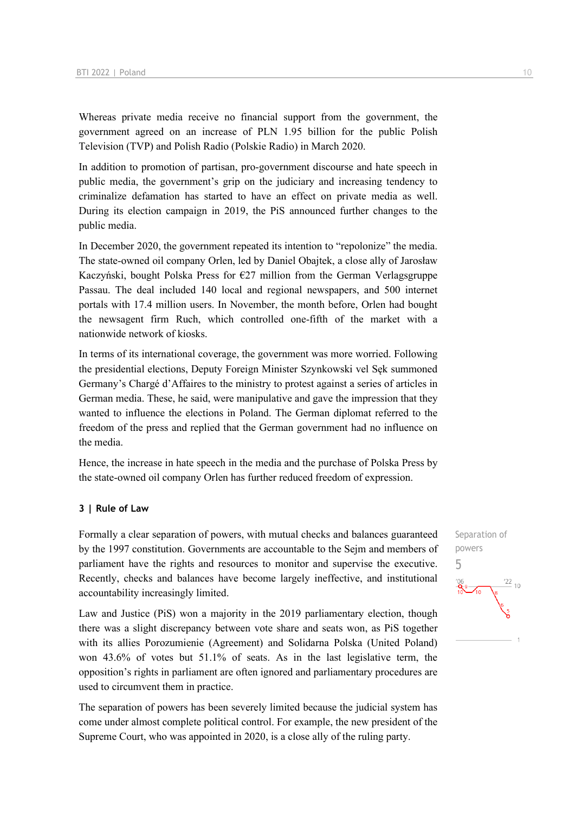Whereas private media receive no financial support from the government, the government agreed on an increase of PLN 1.95 billion for the public Polish Television (TVP) and Polish Radio (Polskie Radio) in March 2020.

In addition to promotion of partisan, pro-government discourse and hate speech in public media, the government's grip on the judiciary and increasing tendency to criminalize defamation has started to have an effect on private media as well. During its election campaign in 2019, the PiS announced further changes to the public media.

In December 2020, the government repeated its intention to "repolonize" the media. The state-owned oil company Orlen, led by Daniel Obajtek, a close ally of Jarosław Kaczyński, bought Polska Press for €27 million from the German Verlagsgruppe Passau. The deal included 140 local and regional newspapers, and 500 internet portals with 17.4 million users. In November, the month before, Orlen had bought the newsagent firm Ruch, which controlled one-fifth of the market with a nationwide network of kiosks.

In terms of its international coverage, the government was more worried. Following the presidential elections, Deputy Foreign Minister Szynkowski vel Sęk summoned Germany's Chargé d'Affaires to the ministry to protest against a series of articles in German media. These, he said, were manipulative and gave the impression that they wanted to influence the elections in Poland. The German diplomat referred to the freedom of the press and replied that the German government had no influence on the media.

Hence, the increase in hate speech in the media and the purchase of Polska Press by the state-owned oil company Orlen has further reduced freedom of expression.

#### **3 | Rule of Law**

Formally a clear separation of powers, with mutual checks and balances guaranteed by the 1997 constitution. Governments are accountable to the Sejm and members of parliament have the rights and resources to monitor and supervise the executive. Recently, checks and balances have become largely ineffective, and institutional accountability increasingly limited.

Law and Justice (PiS) won a majority in the 2019 parliamentary election, though there was a slight discrepancy between vote share and seats won, as PiS together with its allies Porozumienie (Agreement) and Solidarna Polska (United Poland) won 43.6% of votes but 51.1% of seats. As in the last legislative term, the opposition's rights in parliament are often ignored and parliamentary procedures are used to circumvent them in practice.

The separation of powers has been severely limited because the judicial system has come under almost complete political control. For example, the new president of the Supreme Court, who was appointed in 2020, is a close ally of the ruling party.

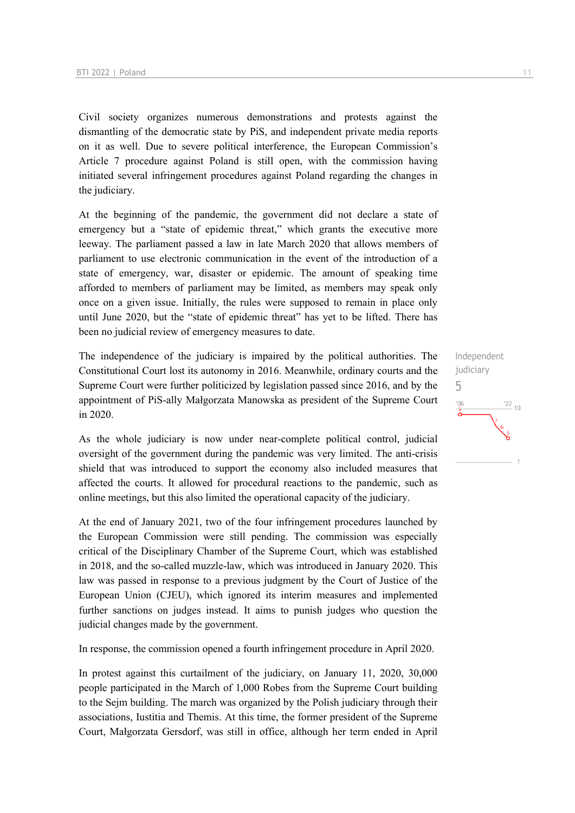Civil society organizes numerous demonstrations and protests against the dismantling of the democratic state by PiS, and independent private media reports on it as well. Due to severe political interference, the European Commission's Article 7 procedure against Poland is still open, with the commission having initiated several infringement procedures against Poland regarding the changes in the judiciary.

At the beginning of the pandemic, the government did not declare a state of emergency but a "state of epidemic threat," which grants the executive more leeway. The parliament passed a law in late March 2020 that allows members of parliament to use electronic communication in the event of the introduction of a state of emergency, war, disaster or epidemic. The amount of speaking time afforded to members of parliament may be limited, as members may speak only once on a given issue. Initially, the rules were supposed to remain in place only until June 2020, but the "state of epidemic threat" has yet to be lifted. There has been no judicial review of emergency measures to date.

The independence of the judiciary is impaired by the political authorities. The Constitutional Court lost its autonomy in 2016. Meanwhile, ordinary courts and the Supreme Court were further politicized by legislation passed since 2016, and by the appointment of PiS-ally Małgorzata Manowska as president of the Supreme Court in 2020.

As the whole judiciary is now under near-complete political control, judicial oversight of the government during the pandemic was very limited. The anti-crisis shield that was introduced to support the economy also included measures that affected the courts. It allowed for procedural reactions to the pandemic, such as online meetings, but this also limited the operational capacity of the judiciary.

At the end of January 2021, two of the four infringement procedures launched by the European Commission were still pending. The commission was especially critical of the Disciplinary Chamber of the Supreme Court, which was established in 2018, and the so-called muzzle-law, which was introduced in January 2020. This law was passed in response to a previous judgment by the Court of Justice of the European Union (CJEU), which ignored its interim measures and implemented further sanctions on judges instead. It aims to punish judges who question the judicial changes made by the government.

In response, the commission opened a fourth infringement procedure in April 2020.

In protest against this curtailment of the judiciary, on January 11, 2020, 30,000 people participated in the March of 1,000 Robes from the Supreme Court building to the Sejm building. The march was organized by the Polish judiciary through their associations, Iustitia and Themis. At this time, the former president of the Supreme Court, Małgorzata Gersdorf, was still in office, although her term ended in April 5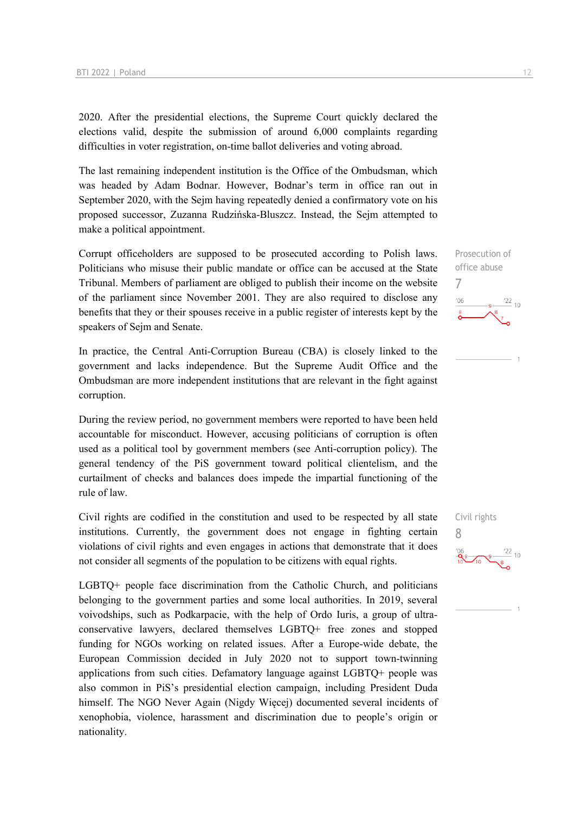2020. After the presidential elections, the Supreme Court quickly declared the elections valid, despite the submission of around 6,000 complaints regarding difficulties in voter registration, on-time ballot deliveries and voting abroad.

The last remaining independent institution is the Office of the Ombudsman, which was headed by Adam Bodnar. However, Bodnar's term in office ran out in September 2020, with the Sejm having repeatedly denied a confirmatory vote on his proposed successor, Zuzanna Rudzińska-Bluszcz. Instead, the Sejm attempted to make a political appointment.

Corrupt officeholders are supposed to be prosecuted according to Polish laws. Politicians who misuse their public mandate or office can be accused at the State Tribunal. Members of parliament are obliged to publish their income on the website of the parliament since November 2001. They are also required to disclose any benefits that they or their spouses receive in a public register of interests kept by the speakers of Sejm and Senate.

In practice, the Central Anti-Corruption Bureau (CBA) is closely linked to the government and lacks independence. But the Supreme Audit Office and the Ombudsman are more independent institutions that are relevant in the fight against corruption.

During the review period, no government members were reported to have been held accountable for misconduct. However, accusing politicians of corruption is often used as a political tool by government members (see Anti-corruption policy). The general tendency of the PiS government toward political clientelism, and the curtailment of checks and balances does impede the impartial functioning of the rule of law.

Civil rights are codified in the constitution and used to be respected by all state institutions. Currently, the government does not engage in fighting certain violations of civil rights and even engages in actions that demonstrate that it does not consider all segments of the population to be citizens with equal rights.

LGBTQ+ people face discrimination from the Catholic Church, and politicians belonging to the government parties and some local authorities. In 2019, several voivodships, such as Podkarpacie, with the help of Ordo Iuris, a group of ultraconservative lawyers, declared themselves LGBTQ+ free zones and stopped funding for NGOs working on related issues. After a Europe-wide debate, the European Commission decided in July 2020 not to support town-twinning applications from such cities. Defamatory language against LGBTQ+ people was also common in PiS's presidential election campaign, including President Duda himself. The NGO Never Again (Nigdy Więcej) documented several incidents of xenophobia, violence, harassment and discrimination due to people's origin or nationality.

Prosecution of office abuse 7  $\frac{22}{10}$  $-06$ 

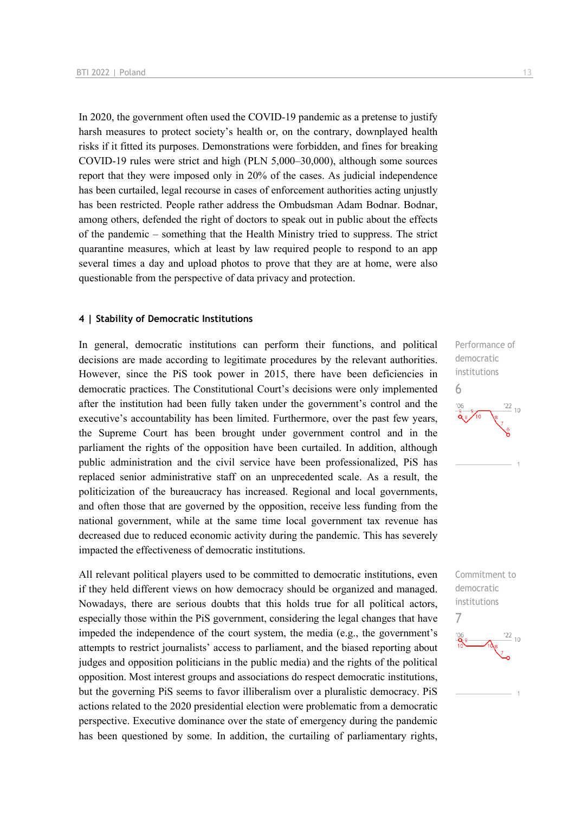In 2020, the government often used the COVID-19 pandemic as a pretense to justify harsh measures to protect society's health or, on the contrary, downplayed health risks if it fitted its purposes. Demonstrations were forbidden, and fines for breaking COVID-19 rules were strict and high (PLN 5,000–30,000), although some sources report that they were imposed only in 20% of the cases. As judicial independence has been curtailed, legal recourse in cases of enforcement authorities acting unjustly has been restricted. People rather address the Ombudsman Adam Bodnar. Bodnar, among others, defended the right of doctors to speak out in public about the effects of the pandemic – something that the Health Ministry tried to suppress. The strict quarantine measures, which at least by law required people to respond to an app several times a day and upload photos to prove that they are at home, were also questionable from the perspective of data privacy and protection.

#### **4 | Stability of Democratic Institutions**

In general, democratic institutions can perform their functions, and political decisions are made according to legitimate procedures by the relevant authorities. However, since the PiS took power in 2015, there have been deficiencies in democratic practices. The Constitutional Court's decisions were only implemented after the institution had been fully taken under the government's control and the executive's accountability has been limited. Furthermore, over the past few years, the Supreme Court has been brought under government control and in the parliament the rights of the opposition have been curtailed. In addition, although public administration and the civil service have been professionalized, PiS has replaced senior administrative staff on an unprecedented scale. As a result, the politicization of the bureaucracy has increased. Regional and local governments, and often those that are governed by the opposition, receive less funding from the national government, while at the same time local government tax revenue has decreased due to reduced economic activity during the pandemic. This has severely impacted the effectiveness of democratic institutions.

All relevant political players used to be committed to democratic institutions, even if they held different views on how democracy should be organized and managed. Nowadays, there are serious doubts that this holds true for all political actors, especially those within the PiS government, considering the legal changes that have impeded the independence of the court system, the media (e.g., the government's attempts to restrict journalists' access to parliament, and the biased reporting about judges and opposition politicians in the public media) and the rights of the political opposition. Most interest groups and associations do respect democratic institutions, but the governing PiS seems to favor illiberalism over a pluralistic democracy. PiS actions related to the 2020 presidential election were problematic from a democratic perspective. Executive dominance over the state of emergency during the pandemic has been questioned by some. In addition, the curtailing of parliamentary rights,



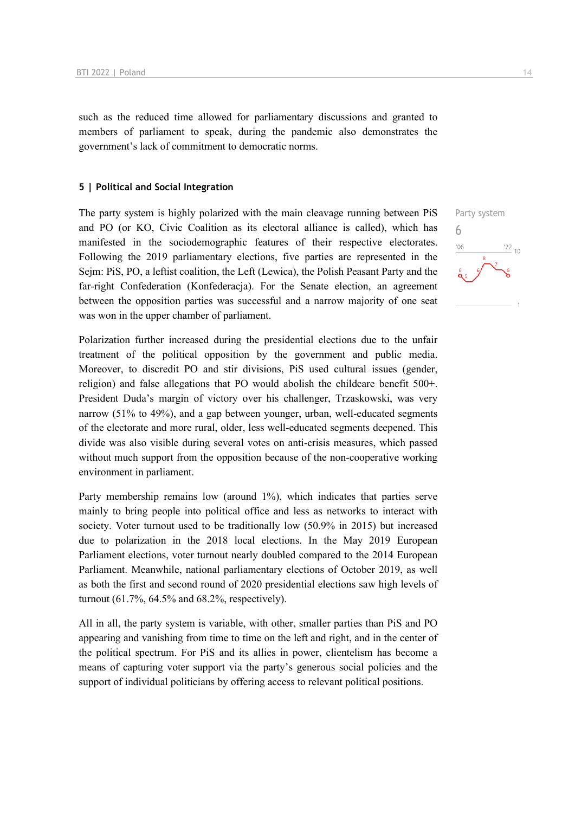such as the reduced time allowed for parliamentary discussions and granted to members of parliament to speak, during the pandemic also demonstrates the government's lack of commitment to democratic norms.

#### **5 | Political and Social Integration**

The party system is highly polarized with the main cleavage running between PiS and PO (or KO, Civic Coalition as its electoral alliance is called), which has manifested in the sociodemographic features of their respective electorates. Following the 2019 parliamentary elections, five parties are represented in the Sejm: PiS, PO, a leftist coalition, the Left (Lewica), the Polish Peasant Party and the far-right Confederation (Konfederacja). For the Senate election, an agreement between the opposition parties was successful and a narrow majority of one seat was won in the upper chamber of parliament.

Polarization further increased during the presidential elections due to the unfair treatment of the political opposition by the government and public media. Moreover, to discredit PO and stir divisions, PiS used cultural issues (gender, religion) and false allegations that PO would abolish the childcare benefit 500+. President Duda's margin of victory over his challenger, Trzaskowski, was very narrow (51% to 49%), and a gap between younger, urban, well-educated segments of the electorate and more rural, older, less well-educated segments deepened. This divide was also visible during several votes on anti-crisis measures, which passed without much support from the opposition because of the non-cooperative working environment in parliament.

Party membership remains low (around 1%), which indicates that parties serve mainly to bring people into political office and less as networks to interact with society. Voter turnout used to be traditionally low (50.9% in 2015) but increased due to polarization in the 2018 local elections. In the May 2019 European Parliament elections, voter turnout nearly doubled compared to the 2014 European Parliament. Meanwhile, national parliamentary elections of October 2019, as well as both the first and second round of 2020 presidential elections saw high levels of turnout (61.7%, 64.5% and 68.2%, respectively).

All in all, the party system is variable, with other, smaller parties than PiS and PO appearing and vanishing from time to time on the left and right, and in the center of the political spectrum. For PiS and its allies in power, clientelism has become a means of capturing voter support via the party's generous social policies and the support of individual politicians by offering access to relevant political positions.

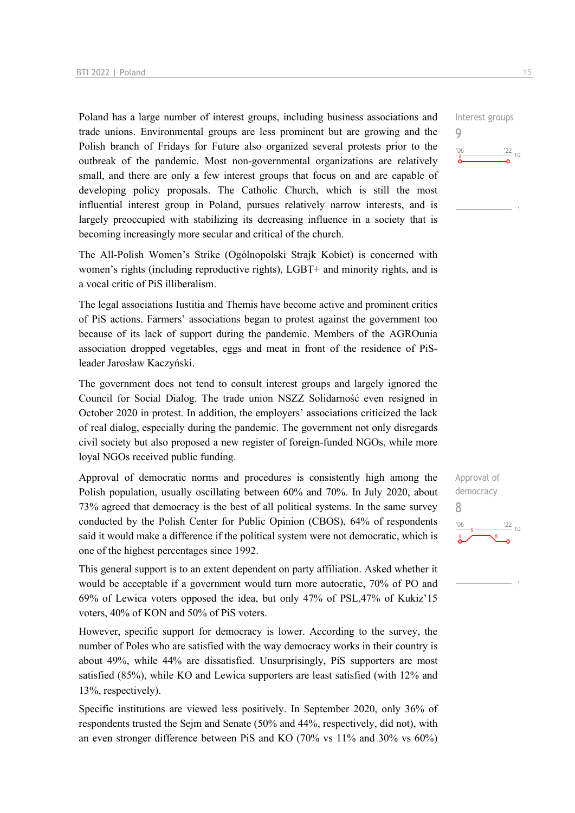Poland has a large number of interest groups, including business associations and trade unions. Environmental groups are less prominent but are growing and the Polish branch of Fridays for Future also organized several protests prior to the outbreak of the pandemic. Most non-governmental organizations are relatively small, and there are only a few interest groups that focus on and are capable of developing policy proposals. The Catholic Church, which is still the most influential interest group in Poland, pursues relatively narrow interests, and is largely preoccupied with stabilizing its decreasing influence in a society that is becoming increasingly more secular and critical of the church.

The All-Polish Women's Strike (Ogólnopolski Strajk Kobiet) is concerned with women's rights (including reproductive rights), LGBT+ and minority rights, and is a vocal critic of PiS illiberalism.

The legal associations Iustitia and Themis have become active and prominent critics of PiS actions. Farmers' associations began to protest against the government too because of its lack of support during the pandemic. Members of the AGROunia association dropped vegetables, eggs and meat in front of the residence of PiSleader Jarosław Kaczyński.

The government does not tend to consult interest groups and largely ignored the Council for Social Dialog. The trade union NSZZ Solidarność even resigned in October 2020 in protest. In addition, the employers' associations criticized the lack of real dialog, especially during the pandemic. The government not only disregards civil society but also proposed a new register of foreign-funded NGOs, while more loyal NGOs received public funding.

Approval of democratic norms and procedures is consistently high among the Polish population, usually oscillating between 60% and 70%. In July 2020, about 73% agreed that democracy is the best of all political systems. In the same survey conducted by the Polish Center for Public Opinion (CBOS), 64% of respondents said it would make a difference if the political system were not democratic, which is one of the highest percentages since 1992.

This general support is to an extent dependent on party affiliation. Asked whether it would be acceptable if a government would turn more autocratic, 70% of PO and 69% of Lewica voters opposed the idea, but only 47% of PSL,47% of Kukiz'15 voters, 40% of KON and 50% of PiS voters.

However, specific support for democracy is lower. According to the survey, the number of Poles who are satisfied with the way democracy works in their country is about 49%, while 44% are dissatisfied. Unsurprisingly, PiS supporters are most satisfied (85%), while KO and Lewica supporters are least satisfied (with 12% and 13%, respectively).

Specific institutions are viewed less positively. In September 2020, only 36% of respondents trusted the Sejm and Senate (50% and 44%, respectively, did not), with an even stronger difference between PiS and KO (70% vs 11% and 30% vs 60%)



 $\frac{22}{10}$ 

Interest groups

9

 $'06$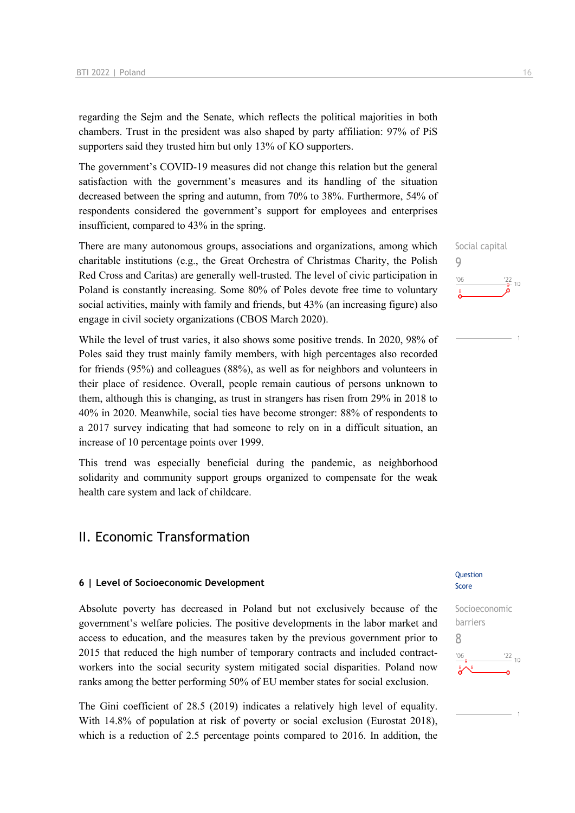regarding the Sejm and the Senate, which reflects the political majorities in both chambers. Trust in the president was also shaped by party affiliation: 97% of PiS supporters said they trusted him but only 13% of KO supporters.

The government's COVID-19 measures did not change this relation but the general satisfaction with the government's measures and its handling of the situation decreased between the spring and autumn, from 70% to 38%. Furthermore, 54% of respondents considered the government's support for employees and enterprises insufficient, compared to 43% in the spring.

There are many autonomous groups, associations and organizations, among which charitable institutions (e.g., the Great Orchestra of Christmas Charity, the Polish Red Cross and Caritas) are generally well-trusted. The level of civic participation in Poland is constantly increasing. Some 80% of Poles devote free time to voluntary social activities, mainly with family and friends, but 43% (an increasing figure) also engage in civil society organizations (CBOS March 2020).

While the level of trust varies, it also shows some positive trends. In 2020, 98% of Poles said they trust mainly family members, with high percentages also recorded for friends (95%) and colleagues (88%), as well as for neighbors and volunteers in their place of residence. Overall, people remain cautious of persons unknown to them, although this is changing, as trust in strangers has risen from 29% in 2018 to 40% in 2020. Meanwhile, social ties have become stronger: 88% of respondents to a 2017 survey indicating that had someone to rely on in a difficult situation, an increase of 10 percentage points over 1999.

This trend was especially beneficial during the pandemic, as neighborhood solidarity and community support groups organized to compensate for the weak health care system and lack of childcare.

## II. Economic Transformation

#### **6 | Level of Socioeconomic Development**

Absolute poverty has decreased in Poland but not exclusively because of the government's welfare policies. The positive developments in the labor market and access to education, and the measures taken by the previous government prior to 2015 that reduced the high number of temporary contracts and included contractworkers into the social security system mitigated social disparities. Poland now ranks among the better performing 50% of EU member states for social exclusion.

The Gini coefficient of 28.5 (2019) indicates a relatively high level of equality. With 14.8% of population at risk of poverty or social exclusion (Eurostat 2018), which is a reduction of 2.5 percentage points compared to 2016. In addition, the





Socioeconomic barriers 8 $\frac{22}{10}$  $'06$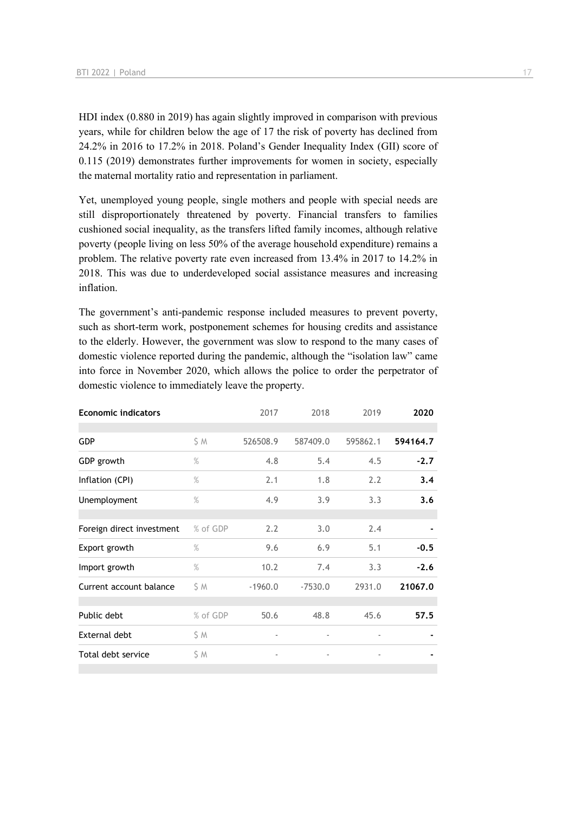HDI index (0.880 in 2019) has again slightly improved in comparison with previous years, while for children below the age of 17 the risk of poverty has declined from 24.2% in 2016 to 17.2% in 2018. Poland's Gender Inequality Index (GII) score of 0.115 (2019) demonstrates further improvements for women in society, especially the maternal mortality ratio and representation in parliament.

Yet, unemployed young people, single mothers and people with special needs are still disproportionately threatened by poverty. Financial transfers to families cushioned social inequality, as the transfers lifted family incomes, although relative poverty (people living on less 50% of the average household expenditure) remains a problem. The relative poverty rate even increased from 13.4% in 2017 to 14.2% in 2018. This was due to underdeveloped social assistance measures and increasing inflation.

The government's anti-pandemic response included measures to prevent poverty, such as short-term work, postponement schemes for housing credits and assistance to the elderly. However, the government was slow to respond to the many cases of domestic violence reported during the pandemic, although the "isolation law" came into force in November 2020, which allows the police to order the perpetrator of domestic violence to immediately leave the property.

| <b>Economic indicators</b> |          | 2017                     | 2018                     | 2019                     | 2020     |
|----------------------------|----------|--------------------------|--------------------------|--------------------------|----------|
|                            |          |                          |                          |                          |          |
| <b>GDP</b>                 | \$ M     | 526508.9                 | 587409.0                 | 595862.1                 | 594164.7 |
| GDP growth                 | $\%$     | 4.8                      | 5.4                      | 4.5                      | $-2.7$   |
| Inflation (CPI)            | $\%$     | 2.1                      | 1.8                      | 2.2                      | 3.4      |
| Unemployment               | $\%$     | 4.9                      | 3.9                      | 3.3                      | 3.6      |
|                            |          |                          |                          |                          |          |
| Foreign direct investment  | % of GDP | 2.2                      | 3.0                      | 2.4                      |          |
| Export growth              | $\%$     | 9.6                      | 6.9                      | 5.1                      | $-0.5$   |
| Import growth              | $\%$     | 10.2                     | 7.4                      | 3.3                      | $-2.6$   |
| Current account balance    | \$ M     | $-1960.0$                | $-7530.0$                | 2931.0                   | 21067.0  |
|                            |          |                          |                          |                          |          |
| Public debt                | % of GDP | 50.6                     | 48.8                     | 45.6                     | 57.5     |
| External debt              | \$ M     | $\overline{\phantom{a}}$ | $\overline{\phantom{a}}$ | $\overline{\phantom{a}}$ |          |
| Total debt service         | \$ M     | $\overline{\phantom{a}}$ | $\overline{\phantom{a}}$ |                          |          |
|                            |          |                          |                          |                          |          |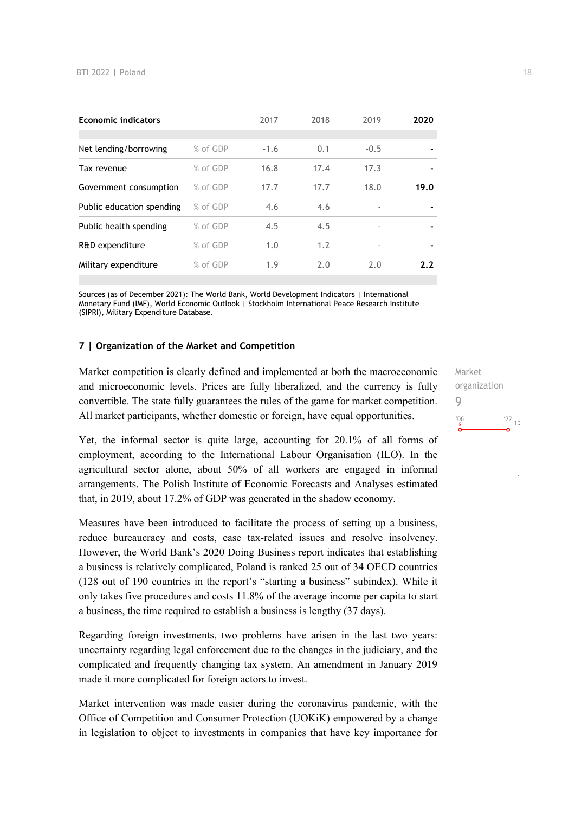| 19.0           |
|----------------|
|                |
| $\blacksquare$ |
|                |
| 2.2            |
|                |

Sources (as of December 2021): The World Bank, World Development Indicators | International Monetary Fund (IMF), World Economic Outlook | Stockholm International Peace Research Institute (SIPRI), Military Expenditure Database.

#### **7 | Organization of the Market and Competition**

Market competition is clearly defined and implemented at both the macroeconomic and microeconomic levels. Prices are fully liberalized, and the currency is fully convertible. The state fully guarantees the rules of the game for market competition. All market participants, whether domestic or foreign, have equal opportunities.

Yet, the informal sector is quite large, accounting for 20.1% of all forms of employment, according to the International Labour Organisation (ILO). In the agricultural sector alone, about 50% of all workers are engaged in informal arrangements. The Polish Institute of Economic Forecasts and Analyses estimated that, in 2019, about 17.2% of GDP was generated in the shadow economy.

Measures have been introduced to facilitate the process of setting up a business, reduce bureaucracy and costs, ease tax-related issues and resolve insolvency. However, the World Bank's 2020 Doing Business report indicates that establishing a business is relatively complicated, Poland is ranked 25 out of 34 OECD countries (128 out of 190 countries in the report's "starting a business" subindex). While it only takes five procedures and costs 11.8% of the average income per capita to start a business, the time required to establish a business is lengthy (37 days).

Regarding foreign investments, two problems have arisen in the last two years: uncertainty regarding legal enforcement due to the changes in the judiciary, and the complicated and frequently changing tax system. An amendment in January 2019 made it more complicated for foreign actors to invest.

Market intervention was made easier during the coronavirus pandemic, with the Office of Competition and Consumer Protection (UOKiK) empowered by a change in legislation to object to investments in companies that have key importance for Market organization 9 $\frac{22}{10}$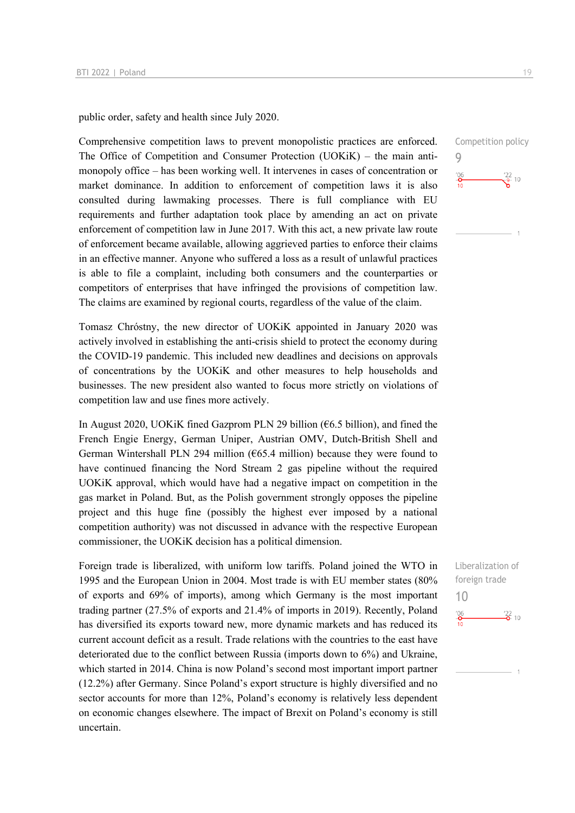public order, safety and health since July 2020.

Comprehensive competition laws to prevent monopolistic practices are enforced. The Office of Competition and Consumer Protection (UOKiK) – the main antimonopoly office – has been working well. It intervenes in cases of concentration or market dominance. In addition to enforcement of competition laws it is also consulted during lawmaking processes. There is full compliance with EU requirements and further adaptation took place by amending an act on private enforcement of competition law in June 2017. With this act, a new private law route of enforcement became available, allowing aggrieved parties to enforce their claims in an effective manner. Anyone who suffered a loss as a result of unlawful practices is able to file a complaint, including both consumers and the counterparties or competitors of enterprises that have infringed the provisions of competition law. The claims are examined by regional courts, regardless of the value of the claim.

Tomasz Chróstny, the new director of UOKiK appointed in January 2020 was actively involved in establishing the anti-crisis shield to protect the economy during the COVID-19 pandemic. This included new deadlines and decisions on approvals of concentrations by the UOKiK and other measures to help households and businesses. The new president also wanted to focus more strictly on violations of competition law and use fines more actively.

In August 2020, UOKiK fined Gazprom PLN 29 billion ( $66.5$  billion), and fined the French Engie Energy, German Uniper, Austrian OMV, Dutch-British Shell and German Wintershall PLN 294 million ( $665.4$  million) because they were found to have continued financing the Nord Stream 2 gas pipeline without the required UOKiK approval, which would have had a negative impact on competition in the gas market in Poland. But, as the Polish government strongly opposes the pipeline project and this huge fine (possibly the highest ever imposed by a national competition authority) was not discussed in advance with the respective European commissioner, the UOKiK decision has a political dimension.

Foreign trade is liberalized, with uniform low tariffs. Poland joined the WTO in 1995 and the European Union in 2004. Most trade is with EU member states (80% of exports and 69% of imports), among which Germany is the most important trading partner (27.5% of exports and 21.4% of imports in 2019). Recently, Poland has diversified its exports toward new, more dynamic markets and has reduced its current account deficit as a result. Trade relations with the countries to the east have deteriorated due to the conflict between Russia (imports down to 6%) and Ukraine, which started in 2014. China is now Poland's second most important import partner (12.2%) after Germany. Since Poland's export structure is highly diversified and no sector accounts for more than 12%, Poland's economy is relatively less dependent on economic changes elsewhere. The impact of Brexit on Poland's economy is still uncertain.

Competition policy 9  $\frac{106}{10}$  $\frac{22}{9}$  10

Liberalization of foreign trade 10 $-6 \frac{22}{2}$  10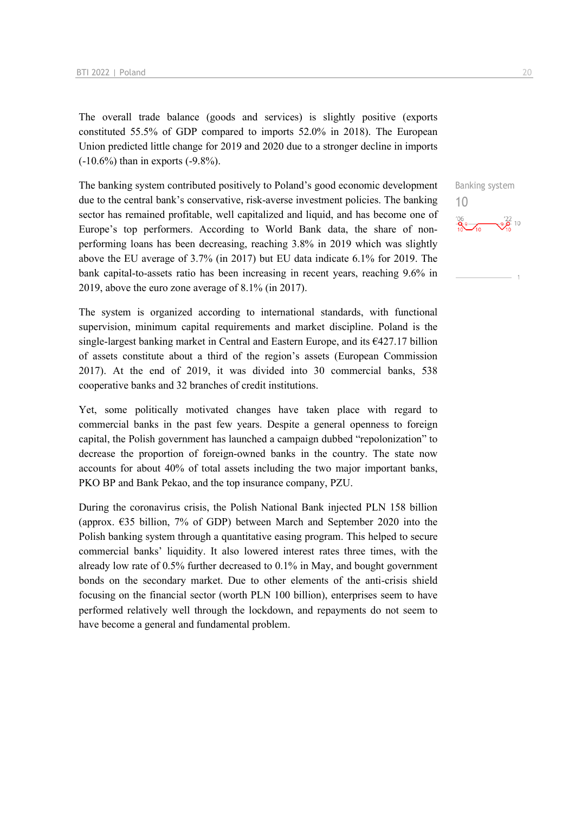The overall trade balance (goods and services) is slightly positive (exports constituted 55.5% of GDP compared to imports 52.0% in 2018). The European Union predicted little change for 2019 and 2020 due to a stronger decline in imports (-10.6%) than in exports (-9.8%).

The banking system contributed positively to Poland's good economic development due to the central bank's conservative, risk-averse investment policies. The banking sector has remained profitable, well capitalized and liquid, and has become one of Europe's top performers. According to World Bank data, the share of nonperforming loans has been decreasing, reaching 3.8% in 2019 which was slightly above the EU average of 3.7% (in 2017) but EU data indicate 6.1% for 2019. The bank capital-to-assets ratio has been increasing in recent years, reaching 9.6% in 2019, above the euro zone average of 8.1% (in 2017).

The system is organized according to international standards, with functional supervision, minimum capital requirements and market discipline. Poland is the single-largest banking market in Central and Eastern Europe, and its  $\epsilon$ 427.17 billion of assets constitute about a third of the region's assets (European Commission 2017). At the end of 2019, it was divided into 30 commercial banks, 538 cooperative banks and 32 branches of credit institutions.

Yet, some politically motivated changes have taken place with regard to commercial banks in the past few years. Despite a general openness to foreign capital, the Polish government has launched a campaign dubbed "repolonization" to decrease the proportion of foreign-owned banks in the country. The state now accounts for about 40% of total assets including the two major important banks, PKO BP and Bank Pekao, and the top insurance company, PZU.

During the coronavirus crisis, the Polish National Bank injected PLN 158 billion (approx. €35 billion, 7% of GDP) between March and September 2020 into the Polish banking system through a quantitative easing program. This helped to secure commercial banks' liquidity. It also lowered interest rates three times, with the already low rate of 0.5% further decreased to 0.1% in May, and bought government bonds on the secondary market. Due to other elements of the anti-crisis shield focusing on the financial sector (worth PLN 100 billion), enterprises seem to have performed relatively well through the lockdown, and repayments do not seem to have become a general and fundamental problem.

Banking system 10 $\frac{106}{10}$   $\frac{102}{10}$   $\frac{102}{10}$   $\frac{102}{10}$   $\frac{102}{10}$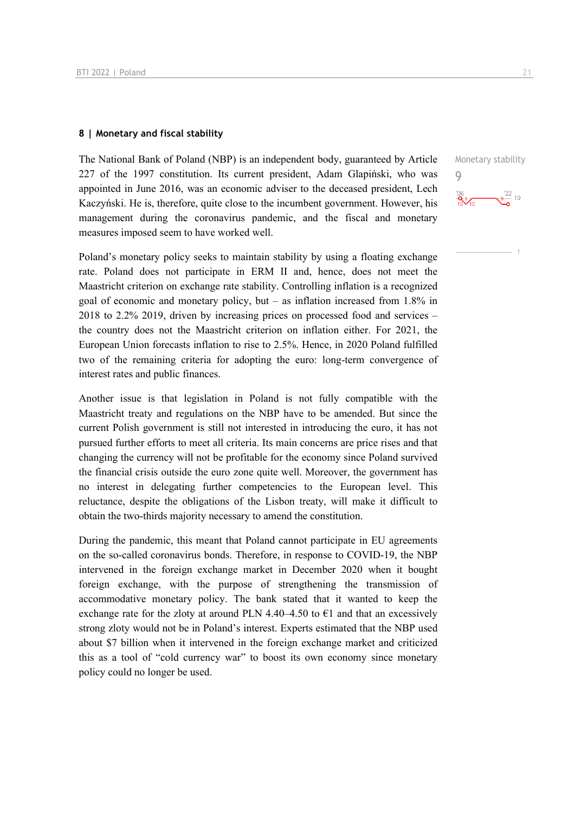#### **8 | Monetary and fiscal stability**

The National Bank of Poland (NBP) is an independent body, guaranteed by Article 227 of the 1997 constitution. Its current president, Adam Glapiński, who was appointed in June 2016, was an economic adviser to the deceased president, Lech Kaczyński. He is, therefore, quite close to the incumbent government. However, his management during the coronavirus pandemic, and the fiscal and monetary measures imposed seem to have worked well.

Poland's monetary policy seeks to maintain stability by using a floating exchange rate. Poland does not participate in ERM II and, hence, does not meet the Maastricht criterion on exchange rate stability. Controlling inflation is a recognized goal of economic and monetary policy, but – as inflation increased from 1.8% in 2018 to 2.2% 2019, driven by increasing prices on processed food and services – the country does not the Maastricht criterion on inflation either. For 2021, the European Union forecasts inflation to rise to 2.5%. Hence, in 2020 Poland fulfilled two of the remaining criteria for adopting the euro: long-term convergence of interest rates and public finances.

Another issue is that legislation in Poland is not fully compatible with the Maastricht treaty and regulations on the NBP have to be amended. But since the current Polish government is still not interested in introducing the euro, it has not pursued further efforts to meet all criteria. Its main concerns are price rises and that changing the currency will not be profitable for the economy since Poland survived the financial crisis outside the euro zone quite well. Moreover, the government has no interest in delegating further competencies to the European level. This reluctance, despite the obligations of the Lisbon treaty, will make it difficult to obtain the two-thirds majority necessary to amend the constitution.

During the pandemic, this meant that Poland cannot participate in EU agreements on the so-called coronavirus bonds. Therefore, in response to COVID-19, the NBP intervened in the foreign exchange market in December 2020 when it bought foreign exchange, with the purpose of strengthening the transmission of accommodative monetary policy. The bank stated that it wanted to keep the exchange rate for the zloty at around PLN 4.40–4.50 to  $\epsilon$ 1 and that an excessively strong zloty would not be in Poland's interest. Experts estimated that the NBP used about \$7 billion when it intervened in the foreign exchange market and criticized this as a tool of "cold currency war" to boost its own economy since monetary policy could no longer be used.

Monetary stability 9 $\frac{22}{9}$  10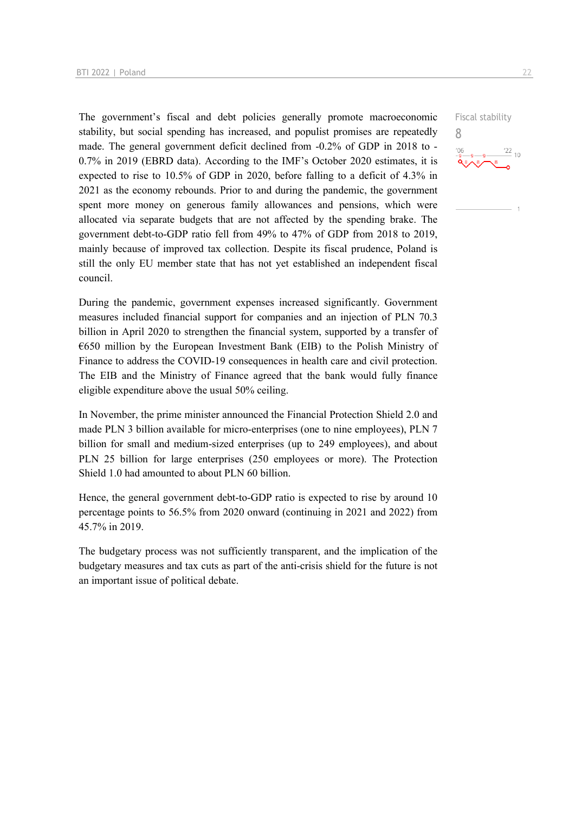The government's fiscal and debt policies generally promote macroeconomic stability, but social spending has increased, and populist promises are repeatedly made. The general government deficit declined from -0.2% of GDP in 2018 to - 0.7% in 2019 (EBRD data). According to the IMF's October 2020 estimates, it is expected to rise to 10.5% of GDP in 2020, before falling to a deficit of 4.3% in 2021 as the economy rebounds. Prior to and during the pandemic, the government spent more money on generous family allowances and pensions, which were allocated via separate budgets that are not affected by the spending brake. The government debt-to-GDP ratio fell from 49% to 47% of GDP from 2018 to 2019, mainly because of improved tax collection. Despite its fiscal prudence, Poland is still the only EU member state that has not yet established an independent fiscal council.

During the pandemic, government expenses increased significantly. Government measures included financial support for companies and an injection of PLN 70.3 billion in April 2020 to strengthen the financial system, supported by a transfer of €650 million by the European Investment Bank (EIB) to the Polish Ministry of Finance to address the COVID-19 consequences in health care and civil protection. The EIB and the Ministry of Finance agreed that the bank would fully finance eligible expenditure above the usual 50% ceiling.

In November, the prime minister announced the Financial Protection Shield 2.0 and made PLN 3 billion available for micro-enterprises (one to nine employees), PLN 7 billion for small and medium-sized enterprises (up to 249 employees), and about PLN 25 billion for large enterprises (250 employees or more). The Protection Shield 1.0 had amounted to about PLN 60 billion.

Hence, the general government debt-to-GDP ratio is expected to rise by around 10 percentage points to 56.5% from 2020 onward (continuing in 2021 and 2022) from 45.7% in 2019.

The budgetary process was not sufficiently transparent, and the implication of the budgetary measures and tax cuts as part of the anti-crisis shield for the future is not an important issue of political debate.

Fiscal stability 8 $\frac{22}{10}$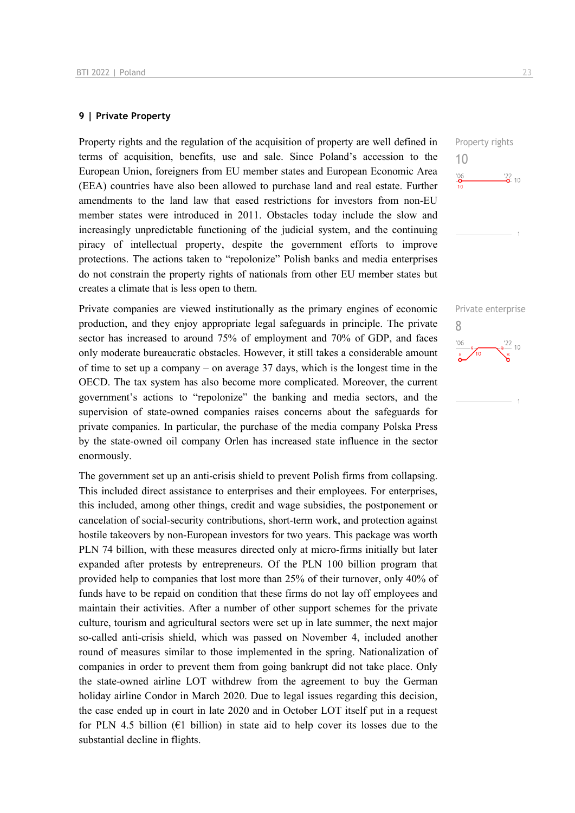#### **9 | Private Property**

Property rights and the regulation of the acquisition of property are well defined in terms of acquisition, benefits, use and sale. Since Poland's accession to the European Union, foreigners from EU member states and European Economic Area (EEA) countries have also been allowed to purchase land and real estate. Further amendments to the land law that eased restrictions for investors from non-EU member states were introduced in 2011. Obstacles today include the slow and increasingly unpredictable functioning of the judicial system, and the continuing piracy of intellectual property, despite the government efforts to improve protections. The actions taken to "repolonize" Polish banks and media enterprises do not constrain the property rights of nationals from other EU member states but creates a climate that is less open to them.

Private companies are viewed institutionally as the primary engines of economic production, and they enjoy appropriate legal safeguards in principle. The private sector has increased to around 75% of employment and 70% of GDP, and faces only moderate bureaucratic obstacles. However, it still takes a considerable amount of time to set up a company – on average 37 days, which is the longest time in the OECD. The tax system has also become more complicated. Moreover, the current government's actions to "repolonize" the banking and media sectors, and the supervision of state-owned companies raises concerns about the safeguards for private companies. In particular, the purchase of the media company Polska Press by the state-owned oil company Orlen has increased state influence in the sector enormously.

The government set up an anti-crisis shield to prevent Polish firms from collapsing. This included direct assistance to enterprises and their employees. For enterprises, this included, among other things, credit and wage subsidies, the postponement or cancelation of social-security contributions, short-term work, and protection against hostile takeovers by non-European investors for two years. This package was worth PLN 74 billion, with these measures directed only at micro-firms initially but later expanded after protests by entrepreneurs. Of the PLN 100 billion program that provided help to companies that lost more than 25% of their turnover, only 40% of funds have to be repaid on condition that these firms do not lay off employees and maintain their activities. After a number of other support schemes for the private culture, tourism and agricultural sectors were set up in late summer, the next major so-called anti-crisis shield, which was passed on November 4, included another round of measures similar to those implemented in the spring. Nationalization of companies in order to prevent them from going bankrupt did not take place. Only the state-owned airline LOT withdrew from the agreement to buy the German holiday airline Condor in March 2020. Due to legal issues regarding this decision, the case ended up in court in late 2020 and in October LOT itself put in a request for PLN 4.5 billion ( $E1$  billion) in state aid to help cover its losses due to the substantial decline in flights.

Property rights 10  $\frac{106}{9}$  $\frac{22}{2}$  10

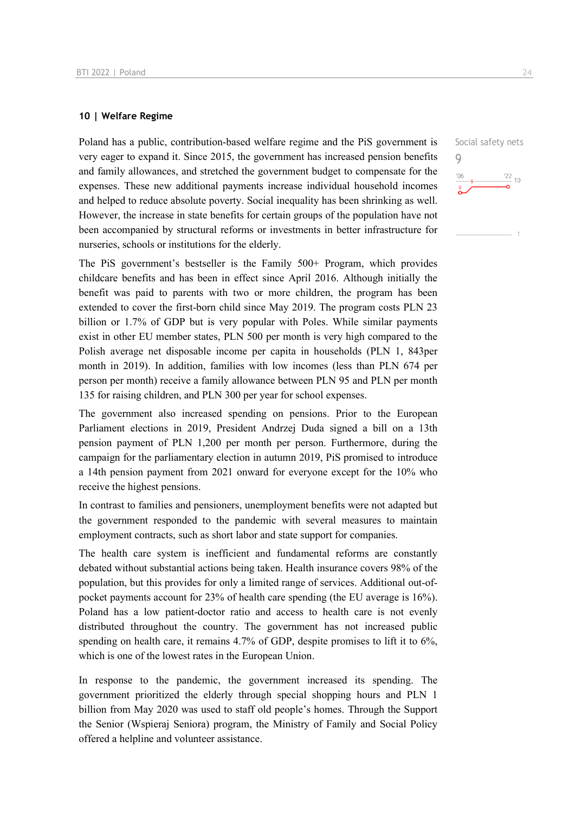#### **10 | Welfare Regime**

Poland has a public, contribution-based welfare regime and the PiS government is very eager to expand it. Since 2015, the government has increased pension benefits and family allowances, and stretched the government budget to compensate for the expenses. These new additional payments increase individual household incomes and helped to reduce absolute poverty. Social inequality has been shrinking as well. However, the increase in state benefits for certain groups of the population have not been accompanied by structural reforms or investments in better infrastructure for nurseries, schools or institutions for the elderly.

The PiS government's bestseller is the Family 500+ Program, which provides childcare benefits and has been in effect since April 2016. Although initially the benefit was paid to parents with two or more children, the program has been extended to cover the first-born child since May 2019. The program costs PLN 23 billion or 1.7% of GDP but is very popular with Poles. While similar payments exist in other EU member states, PLN 500 per month is very high compared to the Polish average net disposable income per capita in households (PLN 1, 843per month in 2019). In addition, families with low incomes (less than PLN 674 per person per month) receive a family allowance between PLN 95 and PLN per month 135 for raising children, and PLN 300 per year for school expenses.

The government also increased spending on pensions. Prior to the European Parliament elections in 2019, President Andrzej Duda signed a bill on a 13th pension payment of PLN 1,200 per month per person. Furthermore, during the campaign for the parliamentary election in autumn 2019, PiS promised to introduce a 14th pension payment from 2021 onward for everyone except for the 10% who receive the highest pensions.

In contrast to families and pensioners, unemployment benefits were not adapted but the government responded to the pandemic with several measures to maintain employment contracts, such as short labor and state support for companies.

The health care system is inefficient and fundamental reforms are constantly debated without substantial actions being taken. Health insurance covers 98% of the population, but this provides for only a limited range of services. Additional out-ofpocket payments account for 23% of health care spending (the EU average is 16%). Poland has a low patient-doctor ratio and access to health care is not evenly distributed throughout the country. The government has not increased public spending on health care, it remains 4.7% of GDP, despite promises to lift it to 6%, which is one of the lowest rates in the European Union.

In response to the pandemic, the government increased its spending. The government prioritized the elderly through special shopping hours and PLN 1 billion from May 2020 was used to staff old people's homes. Through the Support the Senior (Wspieraj Seniora) program, the Ministry of Family and Social Policy offered a helpline and volunteer assistance.

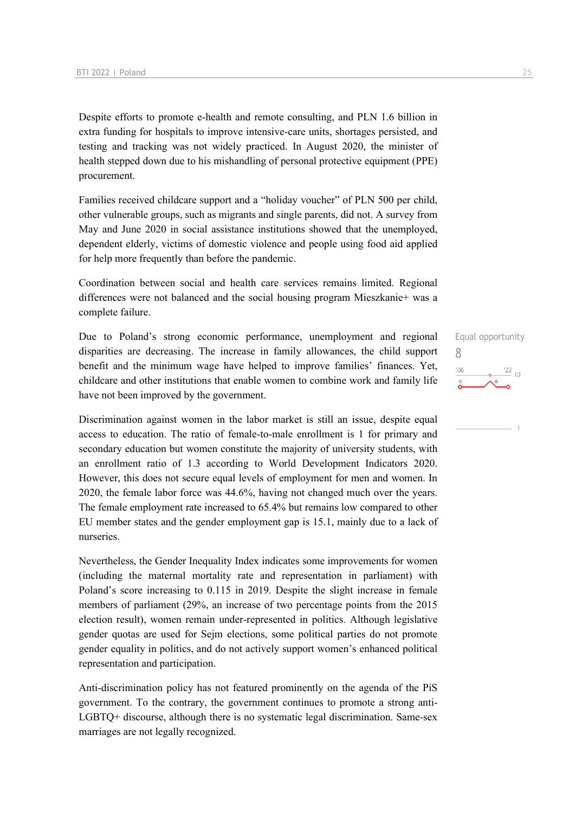Despite efforts to promote e-health and remote consulting, and PLN 1.6 billion in extra funding for hospitals to improve intensive-care units, shortages persisted, and testing and tracking was not widely practiced. In August 2020, the minister of health stepped down due to his mishandling of personal protective equipment (PPE) procurement.

Families received childcare support and a "holiday voucher" of PLN 500 per child, other vulnerable groups, such as migrants and single parents, did not. A survey from May and June 2020 in social assistance institutions showed that the unemployed, dependent elderly, victims of domestic violence and people using food aid applied for help more frequently than before the pandemic.

Coordination between social and health care services remains limited. Regional differences were not balanced and the social housing program Mieszkanie+ was a complete failure.

Due to Poland's strong economic performance, unemployment and regional disparities are decreasing. The increase in family allowances, the child support benefit and the minimum wage have helped to improve families' finances. Yet, childcare and other institutions that enable women to combine work and family life have not been improved by the government.

Discrimination against women in the labor market is still an issue, despite equal access to education. The ratio of female-to-male enrollment is 1 for primary and secondary education but women constitute the majority of university students, with an enrollment ratio of 1.3 according to World Development Indicators 2020. However, this does not secure equal levels of employment for men and women. In 2020, the female labor force was 44.6%, having not changed much over the years. The female employment rate increased to 65.4% but remains low compared to other EU member states and the gender employment gap is 15.1, mainly due to a lack of nurseries.

Nevertheless, the Gender Inequality Index indicates some improvements for women (including the maternal mortality rate and representation in parliament) with Poland's score increasing to 0.115 in 2019. Despite the slight increase in female members of parliament (29%, an increase of two percentage points from the 2015 election result), women remain under-represented in politics. Although legislative gender quotas are used for Sejm elections, some political parties do not promote gender equality in politics, and do not actively support women's enhanced political representation and participation.

Anti-discrimination policy has not featured prominently on the agenda of the PiS government. To the contrary, the government continues to promote a strong anti-LGBTQ+ discourse, although there is no systematic legal discrimination. Same-sex marriages are not legally recognized.

Equal opportunity 8 $\frac{22}{10}$  $n<sub>0</sub>$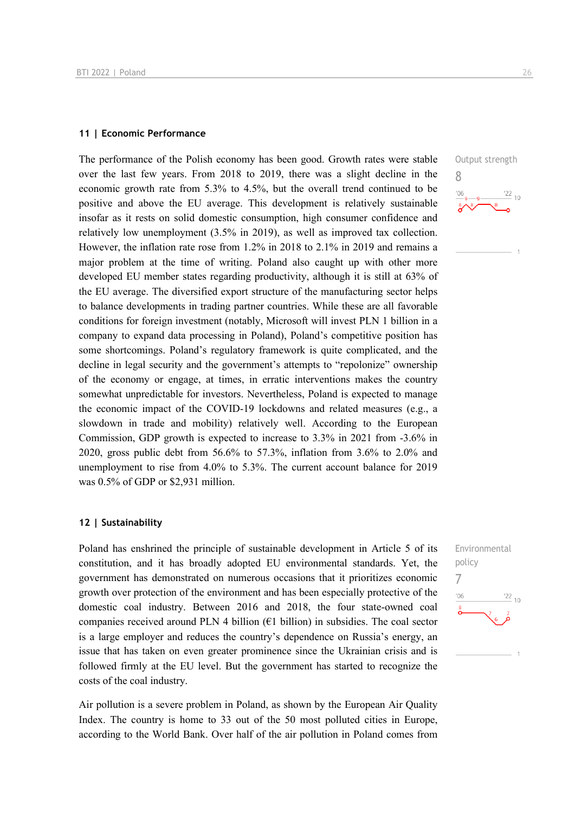#### **11 | Economic Performance**

The performance of the Polish economy has been good. Growth rates were stable over the last few years. From 2018 to 2019, there was a slight decline in the economic growth rate from 5.3% to 4.5%, but the overall trend continued to be positive and above the EU average. This development is relatively sustainable insofar as it rests on solid domestic consumption, high consumer confidence and relatively low unemployment (3.5% in 2019), as well as improved tax collection. However, the inflation rate rose from 1.2% in 2018 to 2.1% in 2019 and remains a major problem at the time of writing. Poland also caught up with other more developed EU member states regarding productivity, although it is still at 63% of the EU average. The diversified export structure of the manufacturing sector helps to balance developments in trading partner countries. While these are all favorable conditions for foreign investment (notably, Microsoft will invest PLN 1 billion in a company to expand data processing in Poland), Poland's competitive position has some shortcomings. Poland's regulatory framework is quite complicated, and the decline in legal security and the government's attempts to "repolonize" ownership of the economy or engage, at times, in erratic interventions makes the country somewhat unpredictable for investors. Nevertheless, Poland is expected to manage the economic impact of the COVID-19 lockdowns and related measures (e.g., a slowdown in trade and mobility) relatively well. According to the European Commission, GDP growth is expected to increase to 3.3% in 2021 from -3.6% in 2020, gross public debt from 56.6% to 57.3%, inflation from 3.6% to 2.0% and unemployment to rise from 4.0% to 5.3%. The current account balance for 2019 was 0.5% of GDP or \$2,931 million.

#### **12 | Sustainability**

Poland has enshrined the principle of sustainable development in Article 5 of its constitution, and it has broadly adopted EU environmental standards. Yet, the government has demonstrated on numerous occasions that it prioritizes economic growth over protection of the environment and has been especially protective of the domestic coal industry. Between 2016 and 2018, the four state-owned coal companies received around PLN 4 billion ( $E1$  billion) in subsidies. The coal sector is a large employer and reduces the country's dependence on Russia's energy, an issue that has taken on even greater prominence since the Ukrainian crisis and is followed firmly at the EU level. But the government has started to recognize the costs of the coal industry.

Air pollution is a severe problem in Poland, as shown by the European Air Quality Index. The country is home to 33 out of the 50 most polluted cities in Europe, according to the World Bank. Over half of the air pollution in Poland comes from



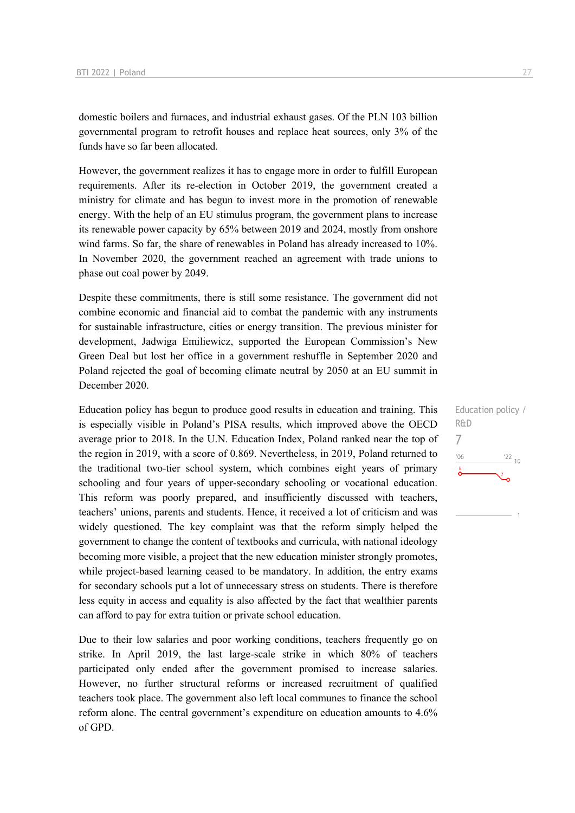domestic boilers and furnaces, and industrial exhaust gases. Of the PLN 103 billion governmental program to retrofit houses and replace heat sources, only 3% of the funds have so far been allocated.

However, the government realizes it has to engage more in order to fulfill European requirements. After its re-election in October 2019, the government created a ministry for climate and has begun to invest more in the promotion of renewable energy. With the help of an EU stimulus program, the government plans to increase its renewable power capacity by 65% between 2019 and 2024, mostly from onshore wind farms. So far, the share of renewables in Poland has already increased to 10%. In November 2020, the government reached an agreement with trade unions to phase out coal power by 2049.

Despite these commitments, there is still some resistance. The government did not combine economic and financial aid to combat the pandemic with any instruments for sustainable infrastructure, cities or energy transition. The previous minister for development, Jadwiga Emiliewicz, supported the European Commission's New Green Deal but lost her office in a government reshuffle in September 2020 and Poland rejected the goal of becoming climate neutral by 2050 at an EU summit in December 2020.

Education policy has begun to produce good results in education and training. This is especially visible in Poland's PISA results, which improved above the OECD average prior to 2018. In the U.N. Education Index, Poland ranked near the top of the region in 2019, with a score of 0.869. Nevertheless, in 2019, Poland returned to the traditional two-tier school system, which combines eight years of primary schooling and four years of upper-secondary schooling or vocational education. This reform was poorly prepared, and insufficiently discussed with teachers, teachers' unions, parents and students. Hence, it received a lot of criticism and was widely questioned. The key complaint was that the reform simply helped the government to change the content of textbooks and curricula, with national ideology becoming more visible, a project that the new education minister strongly promotes, while project-based learning ceased to be mandatory. In addition, the entry exams for secondary schools put a lot of unnecessary stress on students. There is therefore less equity in access and equality is also affected by the fact that wealthier parents can afford to pay for extra tuition or private school education.

Due to their low salaries and poor working conditions, teachers frequently go on strike. In April 2019, the last large-scale strike in which 80% of teachers participated only ended after the government promised to increase salaries. However, no further structural reforms or increased recruitment of qualified teachers took place. The government also left local communes to finance the school reform alone. The central government's expenditure on education amounts to 4.6% of GPD.

Education policy / R&D 7 $106$  $\frac{22}{10}$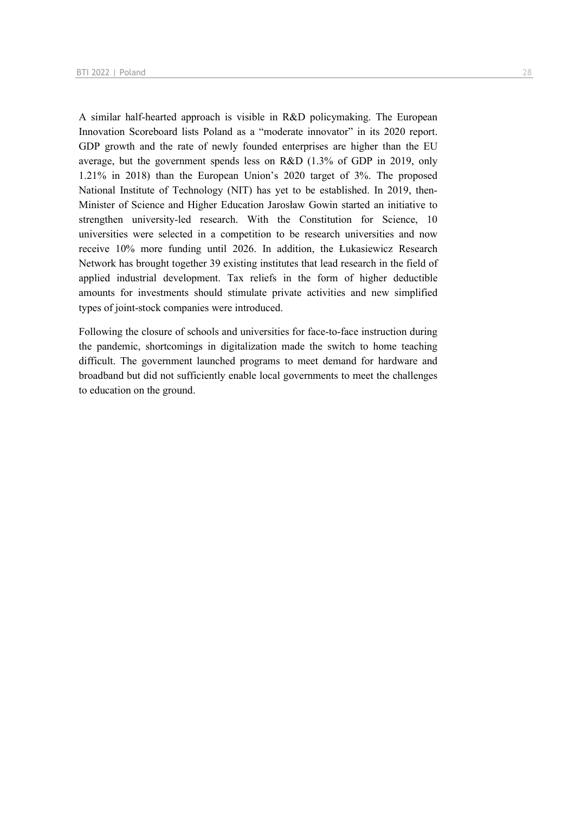A similar half-hearted approach is visible in R&D policymaking. The European Innovation Scoreboard lists Poland as a "moderate innovator" in its 2020 report. GDP growth and the rate of newly founded enterprises are higher than the EU average, but the government spends less on R&D (1.3% of GDP in 2019, only 1.21% in 2018) than the European Union's 2020 target of 3%. The proposed National Institute of Technology (NIT) has yet to be established. In 2019, then-Minister of Science and Higher Education Jarosław Gowin started an initiative to strengthen university-led research. With the Constitution for Science, 10 universities were selected in a competition to be research universities and now receive 10% more funding until 2026. In addition, the Łukasiewicz Research Network has brought together 39 existing institutes that lead research in the field of applied industrial development. Tax reliefs in the form of higher deductible amounts for investments should stimulate private activities and new simplified types of joint-stock companies were introduced.

Following the closure of schools and universities for face-to-face instruction during the pandemic, shortcomings in digitalization made the switch to home teaching difficult. The government launched programs to meet demand for hardware and broadband but did not sufficiently enable local governments to meet the challenges to education on the ground.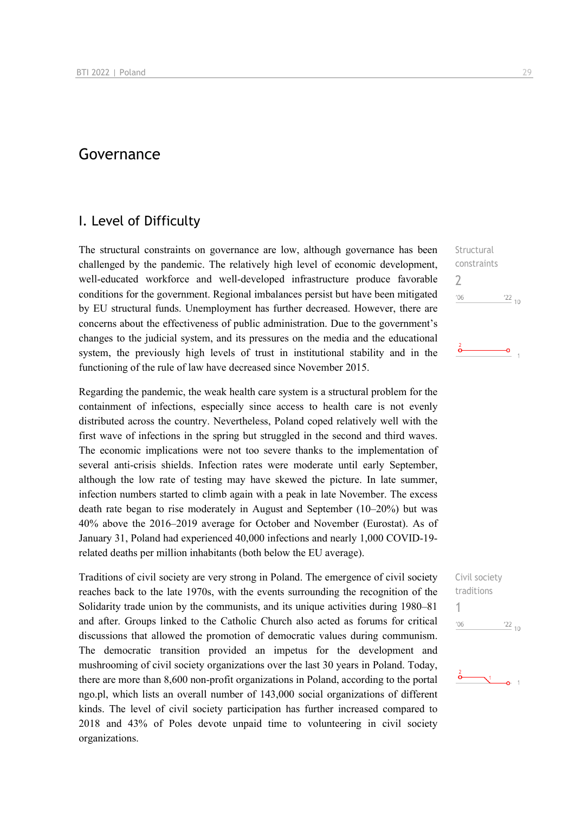## Governance

## I. Level of Difficulty

The structural constraints on governance are low, although governance has been challenged by the pandemic. The relatively high level of economic development, well-educated workforce and well-developed infrastructure produce favorable conditions for the government. Regional imbalances persist but have been mitigated by EU structural funds. Unemployment has further decreased. However, there are concerns about the effectiveness of public administration. Due to the government's changes to the judicial system, and its pressures on the media and the educational system, the previously high levels of trust in institutional stability and in the functioning of the rule of law have decreased since November 2015.

Regarding the pandemic, the weak health care system is a structural problem for the containment of infections, especially since access to health care is not evenly distributed across the country. Nevertheless, Poland coped relatively well with the first wave of infections in the spring but struggled in the second and third waves. The economic implications were not too severe thanks to the implementation of several anti-crisis shields. Infection rates were moderate until early September, although the low rate of testing may have skewed the picture. In late summer, infection numbers started to climb again with a peak in late November. The excess death rate began to rise moderately in August and September (10–20%) but was 40% above the 2016–2019 average for October and November (Eurostat). As of January 31, Poland had experienced 40,000 infections and nearly 1,000 COVID-19 related deaths per million inhabitants (both below the EU average).

Traditions of civil society are very strong in Poland. The emergence of civil society reaches back to the late 1970s, with the events surrounding the recognition of the Solidarity trade union by the communists, and its unique activities during 1980–81 and after. Groups linked to the Catholic Church also acted as forums for critical discussions that allowed the promotion of democratic values during communism. The democratic transition provided an impetus for the development and mushrooming of civil society organizations over the last 30 years in Poland. Today, there are more than 8,600 non-profit organizations in Poland, according to the portal ngo.pl, which lists an overall number of 143,000 social organizations of different kinds. The level of civil society participation has further increased compared to 2018 and 43% of Poles devote unpaid time to volunteering in civil society organizations.

**Structural** constraints 2  $'06$  $\frac{22}{10}$ 

ō

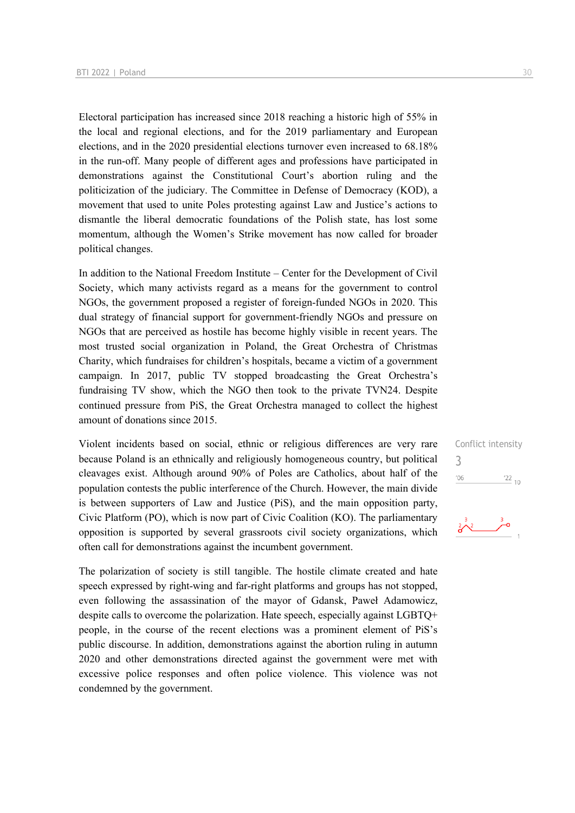Electoral participation has increased since 2018 reaching a historic high of 55% in the local and regional elections, and for the 2019 parliamentary and European elections, and in the 2020 presidential elections turnover even increased to 68.18% in the run-off. Many people of different ages and professions have participated in demonstrations against the Constitutional Court's abortion ruling and the politicization of the judiciary. The Committee in Defense of Democracy (KOD), a movement that used to unite Poles protesting against Law and Justice's actions to dismantle the liberal democratic foundations of the Polish state, has lost some momentum, although the Women's Strike movement has now called for broader political changes.

In addition to the National Freedom Institute – Center for the Development of Civil Society, which many activists regard as a means for the government to control NGOs, the government proposed a register of foreign-funded NGOs in 2020. This dual strategy of financial support for government-friendly NGOs and pressure on NGOs that are perceived as hostile has become highly visible in recent years. The most trusted social organization in Poland, the Great Orchestra of Christmas Charity, which fundraises for children's hospitals, became a victim of a government campaign. In 2017, public TV stopped broadcasting the Great Orchestra's fundraising TV show, which the NGO then took to the private TVN24. Despite continued pressure from PiS, the Great Orchestra managed to collect the highest amount of donations since 2015.

Violent incidents based on social, ethnic or religious differences are very rare because Poland is an ethnically and religiously homogeneous country, but political cleavages exist. Although around 90% of Poles are Catholics, about half of the population contests the public interference of the Church. However, the main divide is between supporters of Law and Justice (PiS), and the main opposition party, Civic Platform (PO), which is now part of Civic Coalition (KO). The parliamentary opposition is supported by several grassroots civil society organizations, which often call for demonstrations against the incumbent government.

The polarization of society is still tangible. The hostile climate created and hate speech expressed by right-wing and far-right platforms and groups has not stopped, even following the assassination of the mayor of Gdansk, Paweł Adamowicz, despite calls to overcome the polarization. Hate speech, especially against LGBTQ+ people, in the course of the recent elections was a prominent element of PiS's public discourse. In addition, demonstrations against the abortion ruling in autumn 2020 and other demonstrations directed against the government were met with excessive police responses and often police violence. This violence was not condemned by the government.

Conflict intensity 3 $\frac{22}{10}$  $06'$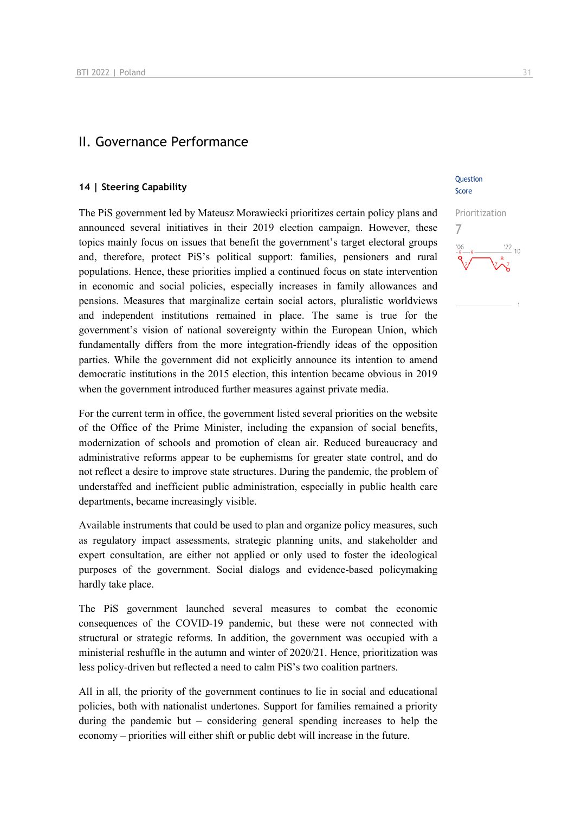## II. Governance Performance

#### **14 | Steering Capability**

The PiS government led by Mateusz Morawiecki prioritizes certain policy plans and announced several initiatives in their 2019 election campaign. However, these topics mainly focus on issues that benefit the government's target electoral groups and, therefore, protect PiS's political support: families, pensioners and rural populations. Hence, these priorities implied a continued focus on state intervention in economic and social policies, especially increases in family allowances and pensions. Measures that marginalize certain social actors, pluralistic worldviews and independent institutions remained in place. The same is true for the government's vision of national sovereignty within the European Union, which fundamentally differs from the more integration-friendly ideas of the opposition parties. While the government did not explicitly announce its intention to amend democratic institutions in the 2015 election, this intention became obvious in 2019 when the government introduced further measures against private media.

For the current term in office, the government listed several priorities on the website of the Office of the Prime Minister, including the expansion of social benefits, modernization of schools and promotion of clean air. Reduced bureaucracy and administrative reforms appear to be euphemisms for greater state control, and do not reflect a desire to improve state structures. During the pandemic, the problem of understaffed and inefficient public administration, especially in public health care departments, became increasingly visible.

Available instruments that could be used to plan and organize policy measures, such as regulatory impact assessments, strategic planning units, and stakeholder and expert consultation, are either not applied or only used to foster the ideological purposes of the government. Social dialogs and evidence-based policymaking hardly take place.

The PiS government launched several measures to combat the economic consequences of the COVID-19 pandemic, but these were not connected with structural or strategic reforms. In addition, the government was occupied with a ministerial reshuffle in the autumn and winter of 2020/21. Hence, prioritization was less policy-driven but reflected a need to calm PiS's two coalition partners.

All in all, the priority of the government continues to lie in social and educational policies, both with nationalist undertones. Support for families remained a priority during the pandemic but – considering general spending increases to help the economy – priorities will either shift or public debt will increase in the future.

#### Question Score

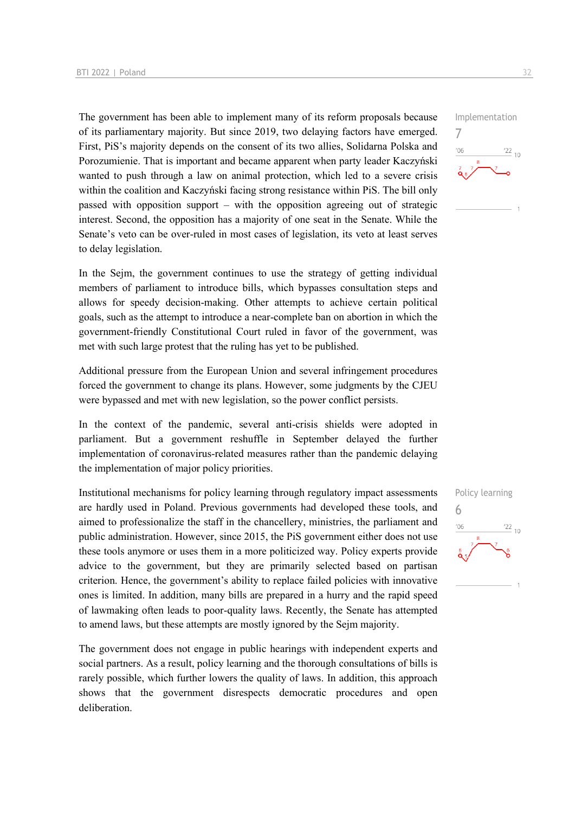The government has been able to implement many of its reform proposals because of its parliamentary majority. But since 2019, two delaying factors have emerged. First, PiS's majority depends on the consent of its two allies, Solidarna Polska and Porozumienie. That is important and became apparent when party leader Kaczyński wanted to push through a law on animal protection, which led to a severe crisis within the coalition and Kaczyński facing strong resistance within PiS. The bill only passed with opposition support – with the opposition agreeing out of strategic interest. Second, the opposition has a majority of one seat in the Senate. While the Senate's veto can be over-ruled in most cases of legislation, its veto at least serves to delay legislation.

In the Sejm, the government continues to use the strategy of getting individual members of parliament to introduce bills, which bypasses consultation steps and allows for speedy decision-making. Other attempts to achieve certain political goals, such as the attempt to introduce a near-complete ban on abortion in which the government-friendly Constitutional Court ruled in favor of the government, was met with such large protest that the ruling has yet to be published.

Additional pressure from the European Union and several infringement procedures forced the government to change its plans. However, some judgments by the CJEU were bypassed and met with new legislation, so the power conflict persists.

In the context of the pandemic, several anti-crisis shields were adopted in parliament. But a government reshuffle in September delayed the further implementation of coronavirus-related measures rather than the pandemic delaying the implementation of major policy priorities.

Institutional mechanisms for policy learning through regulatory impact assessments are hardly used in Poland. Previous governments had developed these tools, and aimed to professionalize the staff in the chancellery, ministries, the parliament and public administration. However, since 2015, the PiS government either does not use these tools anymore or uses them in a more politicized way. Policy experts provide advice to the government, but they are primarily selected based on partisan criterion. Hence, the government's ability to replace failed policies with innovative ones is limited. In addition, many bills are prepared in a hurry and the rapid speed of lawmaking often leads to poor-quality laws. Recently, the Senate has attempted to amend laws, but these attempts are mostly ignored by the Sejm majority.

The government does not engage in public hearings with independent experts and social partners. As a result, policy learning and the thorough consultations of bills is rarely possible, which further lowers the quality of laws. In addition, this approach shows that the government disrespects democratic procedures and open deliberation.



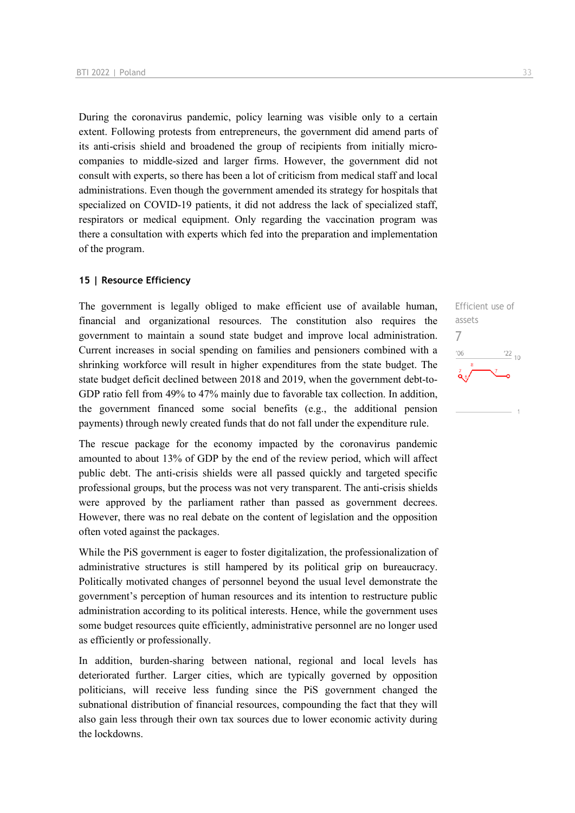During the coronavirus pandemic, policy learning was visible only to a certain extent. Following protests from entrepreneurs, the government did amend parts of its anti-crisis shield and broadened the group of recipients from initially microcompanies to middle-sized and larger firms. However, the government did not consult with experts, so there has been a lot of criticism from medical staff and local administrations. Even though the government amended its strategy for hospitals that specialized on COVID-19 patients, it did not address the lack of specialized staff, respirators or medical equipment. Only regarding the vaccination program was there a consultation with experts which fed into the preparation and implementation of the program.

#### **15 | Resource Efficiency**

The government is legally obliged to make efficient use of available human, financial and organizational resources. The constitution also requires the government to maintain a sound state budget and improve local administration. Current increases in social spending on families and pensioners combined with a shrinking workforce will result in higher expenditures from the state budget. The state budget deficit declined between 2018 and 2019, when the government debt-to-GDP ratio fell from 49% to 47% mainly due to favorable tax collection. In addition, the government financed some social benefits (e.g., the additional pension payments) through newly created funds that do not fall under the expenditure rule.

The rescue package for the economy impacted by the coronavirus pandemic amounted to about 13% of GDP by the end of the review period, which will affect public debt. The anti-crisis shields were all passed quickly and targeted specific professional groups, but the process was not very transparent. The anti-crisis shields were approved by the parliament rather than passed as government decrees. However, there was no real debate on the content of legislation and the opposition often voted against the packages.

While the PiS government is eager to foster digitalization, the professionalization of administrative structures is still hampered by its political grip on bureaucracy. Politically motivated changes of personnel beyond the usual level demonstrate the government's perception of human resources and its intention to restructure public administration according to its political interests. Hence, while the government uses some budget resources quite efficiently, administrative personnel are no longer used as efficiently or professionally.

In addition, burden-sharing between national, regional and local levels has deteriorated further. Larger cities, which are typically governed by opposition politicians, will receive less funding since the PiS government changed the subnational distribution of financial resources, compounding the fact that they will also gain less through their own tax sources due to lower economic activity during the lockdowns.

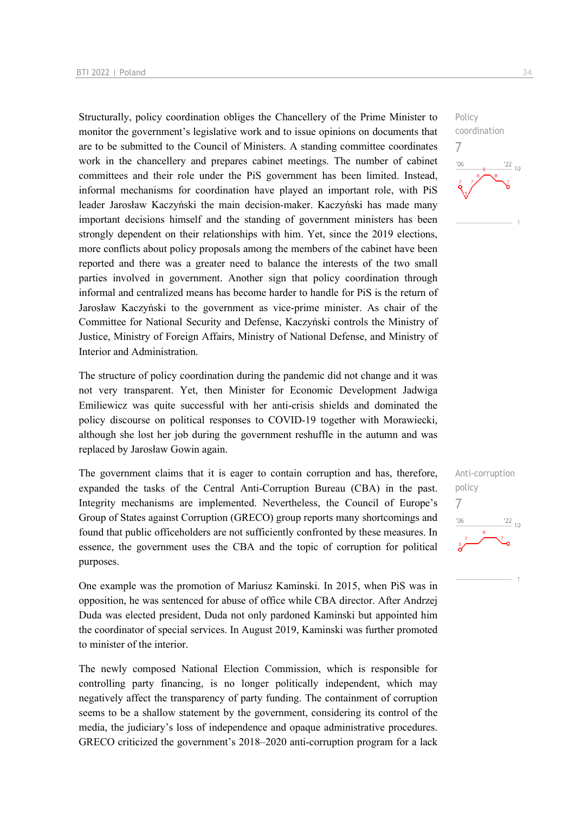Structurally, policy coordination obliges the Chancellery of the Prime Minister to monitor the government's legislative work and to issue opinions on documents that are to be submitted to the Council of Ministers. A standing committee coordinates work in the chancellery and prepares cabinet meetings. The number of cabinet committees and their role under the PiS government has been limited. Instead, informal mechanisms for coordination have played an important role, with PiS leader Jarosław Kaczyński the main decision-maker. Kaczyński has made many important decisions himself and the standing of government ministers has been strongly dependent on their relationships with him. Yet, since the 2019 elections, more conflicts about policy proposals among the members of the cabinet have been reported and there was a greater need to balance the interests of the two small parties involved in government. Another sign that policy coordination through informal and centralized means has become harder to handle for PiS is the return of Jarosław Kaczyński to the government as vice-prime minister. As chair of the Committee for National Security and Defense, Kaczyński controls the Ministry of Justice, Ministry of Foreign Affairs, Ministry of National Defense, and Ministry of Interior and Administration.

The structure of policy coordination during the pandemic did not change and it was not very transparent. Yet, then Minister for Economic Development Jadwiga Emiliewicz was quite successful with her anti-crisis shields and dominated the policy discourse on political responses to COVID-19 together with Morawiecki, although she lost her job during the government reshuffle in the autumn and was replaced by Jarosław Gowin again.

The government claims that it is eager to contain corruption and has, therefore, expanded the tasks of the Central Anti-Corruption Bureau (CBA) in the past. Integrity mechanisms are implemented. Nevertheless, the Council of Europe's Group of States against Corruption (GRECO) group reports many shortcomings and found that public officeholders are not sufficiently confronted by these measures. In essence, the government uses the CBA and the topic of corruption for political purposes.

One example was the promotion of Mariusz Kaminski. In 2015, when PiS was in opposition, he was sentenced for abuse of office while CBA director. After Andrzej Duda was elected president, Duda not only pardoned Kaminski but appointed him the coordinator of special services. In August 2019, Kaminski was further promoted to minister of the interior.

The newly composed National Election Commission, which is responsible for controlling party financing, is no longer politically independent, which may negatively affect the transparency of party funding. The containment of corruption seems to be a shallow statement by the government, considering its control of the media, the judiciary's loss of independence and opaque administrative procedures. GRECO criticized the government's 2018–2020 anti-corruption program for a lack

7

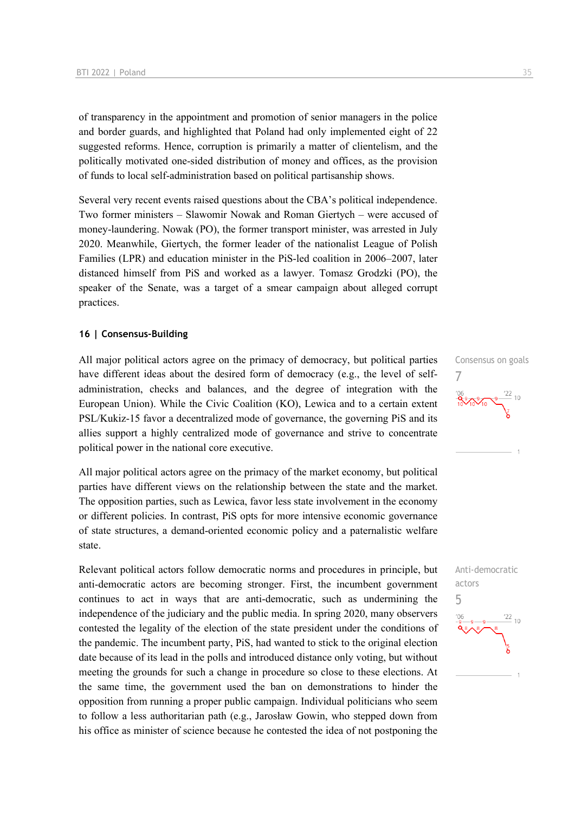of transparency in the appointment and promotion of senior managers in the police and border guards, and highlighted that Poland had only implemented eight of 22 suggested reforms. Hence, corruption is primarily a matter of clientelism, and the politically motivated one-sided distribution of money and offices, as the provision of funds to local self-administration based on political partisanship shows.

Several very recent events raised questions about the CBA's political independence. Two former ministers – Slawomir Nowak and Roman Giertych – were accused of money-laundering. Nowak (PO), the former transport minister, was arrested in July 2020. Meanwhile, Giertych, the former leader of the nationalist League of Polish Families (LPR) and education minister in the PiS-led coalition in 2006–2007, later distanced himself from PiS and worked as a lawyer. Tomasz Grodzki (PO), the speaker of the Senate, was a target of a smear campaign about alleged corrupt practices.

#### **16 | Consensus-Building**

All major political actors agree on the primacy of democracy, but political parties have different ideas about the desired form of democracy (e.g., the level of selfadministration, checks and balances, and the degree of integration with the European Union). While the Civic Coalition (KO), Lewica and to a certain extent PSL/Kukiz-15 favor a decentralized mode of governance, the governing PiS and its allies support a highly centralized mode of governance and strive to concentrate political power in the national core executive.

All major political actors agree on the primacy of the market economy, but political parties have different views on the relationship between the state and the market. The opposition parties, such as Lewica, favor less state involvement in the economy or different policies. In contrast, PiS opts for more intensive economic governance of state structures, a demand-oriented economic policy and a paternalistic welfare state.

Relevant political actors follow democratic norms and procedures in principle, but anti-democratic actors are becoming stronger. First, the incumbent government continues to act in ways that are anti-democratic, such as undermining the independence of the judiciary and the public media. In spring 2020, many observers contested the legality of the election of the state president under the conditions of the pandemic. The incumbent party, PiS, had wanted to stick to the original election date because of its lead in the polls and introduced distance only voting, but without meeting the grounds for such a change in procedure so close to these elections. At the same time, the government used the ban on demonstrations to hinder the opposition from running a proper public campaign. Individual politicians who seem to follow a less authoritarian path (e.g., Jarosław Gowin, who stepped down from his office as minister of science because he contested the idea of not postponing the



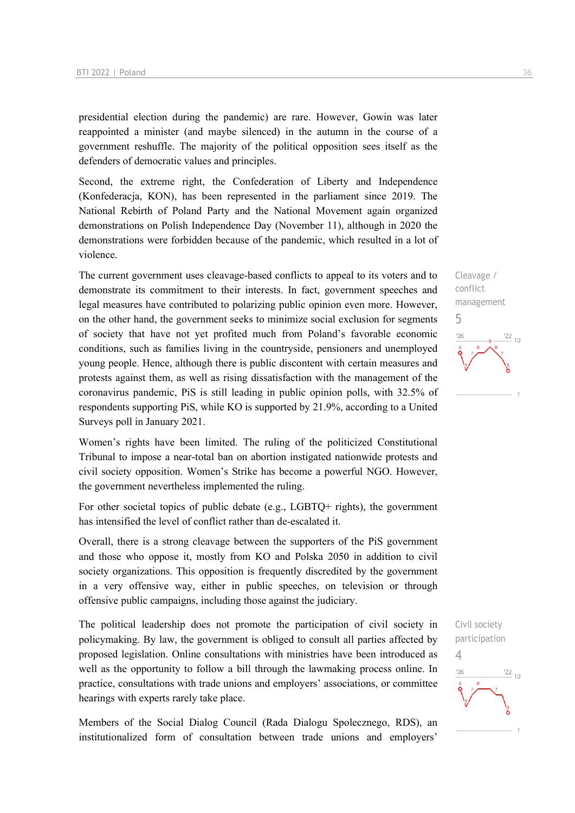presidential election during the pandemic) are rare. However, Gowin was later reappointed a minister (and maybe silenced) in the autumn in the course of a government reshuffle. The majority of the political opposition sees itself as the defenders of democratic values and principles.

Second, the extreme right, the Confederation of Liberty and Independence (Konfederacja, KON), has been represented in the parliament since 2019. The National Rebirth of Poland Party and the National Movement again organized demonstrations on Polish Independence Day (November 11), although in 2020 the demonstrations were forbidden because of the pandemic, which resulted in a lot of violence.

The current government uses cleavage-based conflicts to appeal to its voters and to demonstrate its commitment to their interests. In fact, government speeches and legal measures have contributed to polarizing public opinion even more. However, on the other hand, the government seeks to minimize social exclusion for segments of society that have not yet profited much from Poland's favorable economic conditions, such as families living in the countryside, pensioners and unemployed young people. Hence, although there is public discontent with certain measures and protests against them, as well as rising dissatisfaction with the management of the coronavirus pandemic, PiS is still leading in public opinion polls, with 32.5% of respondents supporting PiS, while KO is supported by 21.9%, according to a United Surveys poll in January 2021.

Women's rights have been limited. The ruling of the politicized Constitutional Tribunal to impose a near-total ban on abortion instigated nationwide protests and civil society opposition. Women's Strike has become a powerful NGO. However, the government nevertheless implemented the ruling.

For other societal topics of public debate (e.g., LGBTQ+ rights), the government has intensified the level of conflict rather than de-escalated it.

Overall, there is a strong cleavage between the supporters of the PiS government and those who oppose it, mostly from KO and Polska 2050 in addition to civil society organizations. This opposition is frequently discredited by the government in a very offensive way, either in public speeches, on television or through offensive public campaigns, including those against the judiciary.

The political leadership does not promote the participation of civil society in policymaking. By law, the government is obliged to consult all parties affected by proposed legislation. Online consultations with ministries have been introduced as well as the opportunity to follow a bill through the lawmaking process online. In practice, consultations with trade unions and employers' associations, or committee hearings with experts rarely take place.

Members of the Social Dialog Council (Rada Dialogu Spolecznego, RDS), an institutionalized form of consultation between trade unions and employers'



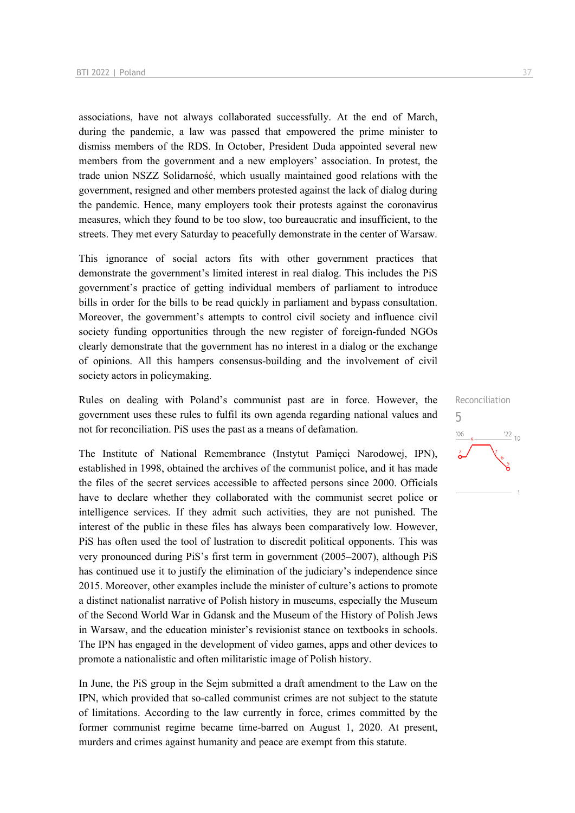associations, have not always collaborated successfully. At the end of March, during the pandemic, a law was passed that empowered the prime minister to dismiss members of the RDS. In October, President Duda appointed several new members from the government and a new employers' association. In protest, the trade union NSZZ Solidarność, which usually maintained good relations with the government, resigned and other members protested against the lack of dialog during the pandemic. Hence, many employers took their protests against the coronavirus measures, which they found to be too slow, too bureaucratic and insufficient, to the streets. They met every Saturday to peacefully demonstrate in the center of Warsaw.

This ignorance of social actors fits with other government practices that demonstrate the government's limited interest in real dialog. This includes the PiS government's practice of getting individual members of parliament to introduce bills in order for the bills to be read quickly in parliament and bypass consultation. Moreover, the government's attempts to control civil society and influence civil society funding opportunities through the new register of foreign-funded NGOs clearly demonstrate that the government has no interest in a dialog or the exchange of opinions. All this hampers consensus-building and the involvement of civil society actors in policymaking.

Rules on dealing with Poland's communist past are in force. However, the government uses these rules to fulfil its own agenda regarding national values and not for reconciliation. PiS uses the past as a means of defamation.

The Institute of National Remembrance (Instytut Pamięci Narodowej, IPN), established in 1998, obtained the archives of the communist police, and it has made the files of the secret services accessible to affected persons since 2000. Officials have to declare whether they collaborated with the communist secret police or intelligence services. If they admit such activities, they are not punished. The interest of the public in these files has always been comparatively low. However, PiS has often used the tool of lustration to discredit political opponents. This was very pronounced during PiS's first term in government (2005–2007), although PiS has continued use it to justify the elimination of the judiciary's independence since 2015. Moreover, other examples include the minister of culture's actions to promote a distinct nationalist narrative of Polish history in museums, especially the Museum of the Second World War in Gdansk and the Museum of the History of Polish Jews in Warsaw, and the education minister's revisionist stance on textbooks in schools. The IPN has engaged in the development of video games, apps and other devices to promote a nationalistic and often militaristic image of Polish history.

In June, the PiS group in the Sejm submitted a draft amendment to the Law on the IPN, which provided that so-called communist crimes are not subject to the statute of limitations. According to the law currently in force, crimes committed by the former communist regime became time-barred on August 1, 2020. At present, murders and crimes against humanity and peace are exempt from this statute.

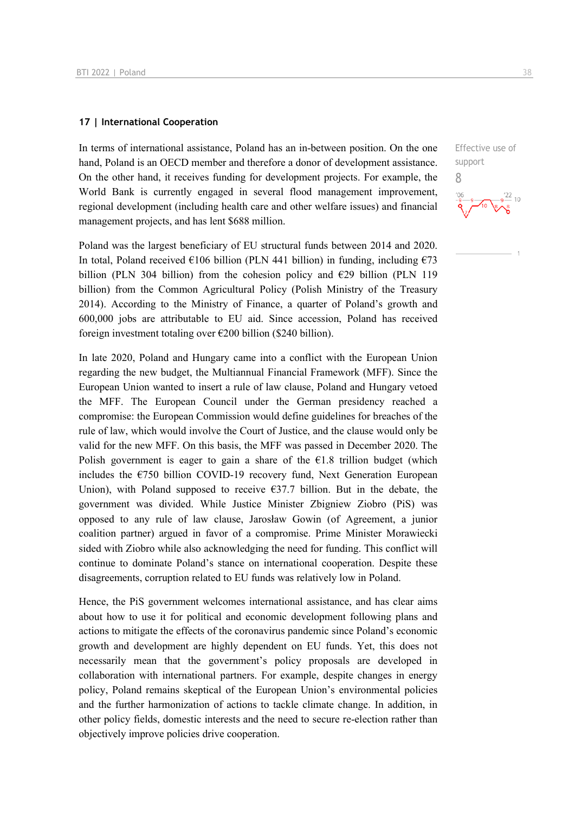#### **17 | International Cooperation**

In terms of international assistance, Poland has an in-between position. On the one hand, Poland is an OECD member and therefore a donor of development assistance. On the other hand, it receives funding for development projects. For example, the World Bank is currently engaged in several flood management improvement, regional development (including health care and other welfare issues) and financial management projects, and has lent \$688 million.

Poland was the largest beneficiary of EU structural funds between 2014 and 2020. In total, Poland received  $\epsilon$ 106 billion (PLN 441 billion) in funding, including  $\epsilon$ 73 billion (PLN 304 billion) from the cohesion policy and  $E29$  billion (PLN 119 billion) from the Common Agricultural Policy (Polish Ministry of the Treasury 2014). According to the Ministry of Finance, a quarter of Poland's growth and 600,000 jobs are attributable to EU aid. Since accession, Poland has received foreign investment totaling over  $\epsilon$ 200 billion (\$240 billion).

In late 2020, Poland and Hungary came into a conflict with the European Union regarding the new budget, the Multiannual Financial Framework (MFF). Since the European Union wanted to insert a rule of law clause, Poland and Hungary vetoed the MFF. The European Council under the German presidency reached a compromise: the European Commission would define guidelines for breaches of the rule of law, which would involve the Court of Justice, and the clause would only be valid for the new MFF. On this basis, the MFF was passed in December 2020. The Polish government is eager to gain a share of the  $E1.8$  trillion budget (which includes the  $E$ 750 billion COVID-19 recovery fund, Next Generation European Union), with Poland supposed to receive  $\epsilon$ 37.7 billion. But in the debate, the government was divided. While Justice Minister Zbigniew Ziobro (PiS) was opposed to any rule of law clause, Jarosław Gowin (of Agreement, a junior coalition partner) argued in favor of a compromise. Prime Minister Morawiecki sided with Ziobro while also acknowledging the need for funding. This conflict will continue to dominate Poland's stance on international cooperation. Despite these disagreements, corruption related to EU funds was relatively low in Poland.

Hence, the PiS government welcomes international assistance, and has clear aims about how to use it for political and economic development following plans and actions to mitigate the effects of the coronavirus pandemic since Poland's economic growth and development are highly dependent on EU funds. Yet, this does not necessarily mean that the government's policy proposals are developed in collaboration with international partners. For example, despite changes in energy policy, Poland remains skeptical of the European Union's environmental policies and the further harmonization of actions to tackle climate change. In addition, in other policy fields, domestic interests and the need to secure re-election rather than objectively improve policies drive cooperation.

Effective use of support 8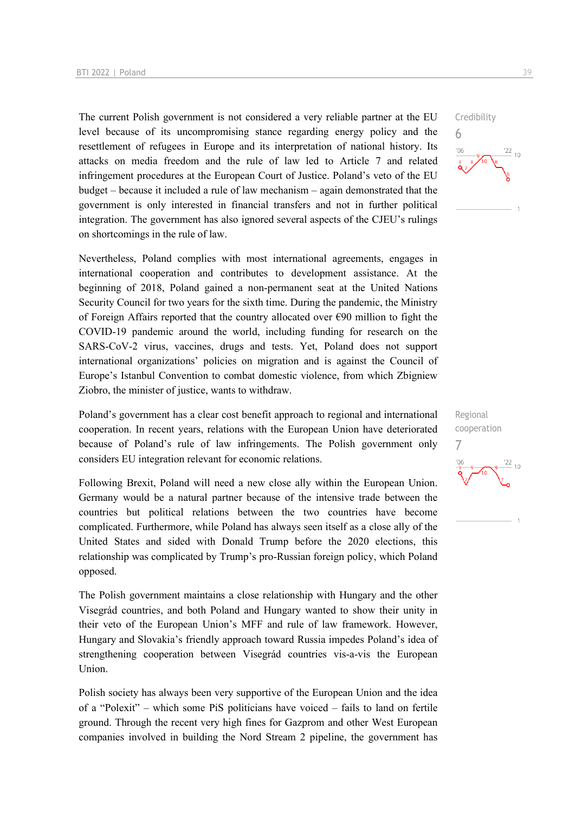The current Polish government is not considered a very reliable partner at the EU level because of its uncompromising stance regarding energy policy and the resettlement of refugees in Europe and its interpretation of national history. Its attacks on media freedom and the rule of law led to Article 7 and related infringement procedures at the European Court of Justice. Poland's veto of the EU budget – because it included a rule of law mechanism – again demonstrated that the government is only interested in financial transfers and not in further political integration. The government has also ignored several aspects of the CJEU's rulings on shortcomings in the rule of law.

Nevertheless, Poland complies with most international agreements, engages in international cooperation and contributes to development assistance. At the beginning of 2018, Poland gained a non-permanent seat at the United Nations Security Council for two years for the sixth time. During the pandemic, the Ministry of Foreign Affairs reported that the country allocated over  $\epsilon$ 90 million to fight the COVID-19 pandemic around the world, including funding for research on the SARS-CoV-2 virus, vaccines, drugs and tests. Yet, Poland does not support international organizations' policies on migration and is against the Council of Europe's Istanbul Convention to combat domestic violence, from which Zbigniew Ziobro, the minister of justice, wants to withdraw.

Poland's government has a clear cost benefit approach to regional and international cooperation. In recent years, relations with the European Union have deteriorated because of Poland's rule of law infringements. The Polish government only considers EU integration relevant for economic relations.

Following Brexit, Poland will need a new close ally within the European Union. Germany would be a natural partner because of the intensive trade between the countries but political relations between the two countries have become complicated. Furthermore, while Poland has always seen itself as a close ally of the United States and sided with Donald Trump before the 2020 elections, this relationship was complicated by Trump's pro-Russian foreign policy, which Poland opposed.

The Polish government maintains a close relationship with Hungary and the other Visegrád countries, and both Poland and Hungary wanted to show their unity in their veto of the European Union's MFF and rule of law framework. However, Hungary and Slovakia's friendly approach toward Russia impedes Poland's idea of strengthening cooperation between Visegrád countries vis-a-vis the European Union.

Polish society has always been very supportive of the European Union and the idea of a "Polexit" – which some PiS politicians have voiced – fails to land on fertile ground. Through the recent very high fines for Gazprom and other West European companies involved in building the Nord Stream 2 pipeline, the government has



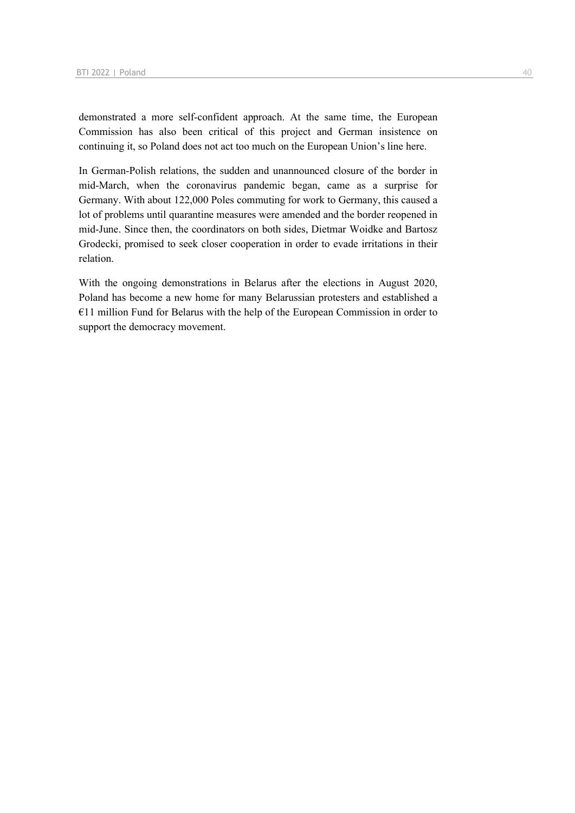demonstrated a more self-confident approach. At the same time, the European Commission has also been critical of this project and German insistence on continuing it, so Poland does not act too much on the European Union's line here.

In German-Polish relations, the sudden and unannounced closure of the border in mid-March, when the coronavirus pandemic began, came as a surprise for Germany. With about 122,000 Poles commuting for work to Germany, this caused a lot of problems until quarantine measures were amended and the border reopened in mid-June. Since then, the coordinators on both sides, Dietmar Woidke and Bartosz Grodecki, promised to seek closer cooperation in order to evade irritations in their relation.

With the ongoing demonstrations in Belarus after the elections in August 2020, Poland has become a new home for many Belarussian protesters and established a €11 million Fund for Belarus with the help of the European Commission in order to support the democracy movement.